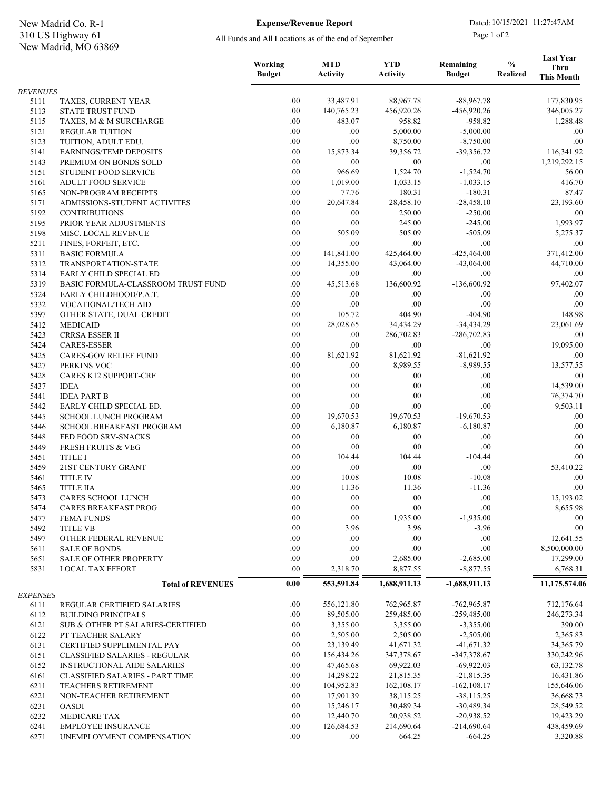All Funds and All Locations as of the end of September

**Expense/Revenue Report** Dated: 10/15/2021 11:27:47AM Page 1 of 2

|                 |                                                          | Working<br><b>Budget</b> | <b>MTD</b><br><b>Activity</b> | <b>YTD</b><br><b>Activity</b> | Remaining<br><b>Budget</b>    | $\frac{0}{0}$<br><b>Realized</b> | <b>Last Year</b><br><b>Thru</b><br><b>This Month</b> |
|-----------------|----------------------------------------------------------|--------------------------|-------------------------------|-------------------------------|-------------------------------|----------------------------------|------------------------------------------------------|
| <b>REVENUES</b> |                                                          |                          |                               |                               |                               |                                  |                                                      |
| 5111            | TAXES, CURRENT YEAR                                      | .00.                     | 33,487.91                     | 88,967.78                     | $-88,967.78$                  |                                  | 177,830.95                                           |
| 5113            | STATE TRUST FUND                                         | .00                      | 140,765.23                    | 456,920.26                    | $-456,920.26$                 |                                  | 346,005.27                                           |
| 5115            | TAXES, M & M SURCHARGE                                   | .00<br>.00               | 483.07<br>.00.                | 958.82<br>5,000.00            | $-958.82$<br>$-5,000.00$      |                                  | 1,288.48                                             |
| 5121<br>5123    | REGULAR TUITION<br>TUITION, ADULT EDU.                   | .00                      | .00                           | 8,750.00                      | $-8,750.00$                   |                                  | .00.<br>.00                                          |
| 5141            | <b>EARNINGS/TEMP DEPOSITS</b>                            | .00                      | 15,873.34                     | 39,356.72                     | $-39,356.72$                  |                                  | 116,341.92                                           |
| 5143            | PREMIUM ON BONDS SOLD                                    | .00                      | .00.                          | .00                           | .00.                          |                                  | 1,219,292.15                                         |
| 5151            | <b>STUDENT FOOD SERVICE</b>                              | .00                      | 966.69                        | 1,524.70                      | $-1,524.70$                   |                                  | 56.00                                                |
| 5161            | <b>ADULT FOOD SERVICE</b>                                | .00                      | 1,019.00                      | 1,033.15                      | $-1,033.15$                   |                                  | 416.70                                               |
| 5165            | NON-PROGRAM RECEIPTS                                     | .00                      | 77.76                         | 180.31                        | $-180.31$                     |                                  | 87.47                                                |
| 5171            | ADMISSIONS-STUDENT ACTIVITES                             | .00                      | 20,647.84                     | 28,458.10                     | $-28,458.10$                  |                                  | 23,193.60                                            |
| 5192<br>5195    | <b>CONTRIBUTIONS</b>                                     | .00<br>.00               | .00.<br>.00                   | 250.00<br>245.00              | $-250.00$<br>$-245.00$        |                                  | .00.<br>1,993.97                                     |
| 5198            | PRIOR YEAR ADJUSTMENTS<br>MISC. LOCAL REVENUE            | .00                      | 505.09                        | 505.09                        | $-505.09$                     |                                  | 5,275.37                                             |
| 5211            | FINES, FORFEIT, ETC.                                     | .00                      | .00                           | .00                           | .00                           |                                  | .00                                                  |
| 5311            | <b>BASIC FORMULA</b>                                     | .00                      | 141,841.00                    | 425,464.00                    | $-425,464.00$                 |                                  | 371,412.00                                           |
| 5312            | TRANSPORTATION-STATE                                     | .00                      | 14,355.00                     | 43,064.00                     | $-43,064.00$                  |                                  | 44,710.00                                            |
| 5314            | EARLY CHILD SPECIAL ED                                   | .00.                     | .00                           | .00                           | .00                           |                                  | .00.                                                 |
| 5319            | BASIC FORMULA-CLASSROOM TRUST FUND                       | .00                      | 45,513.68                     | 136,600.92                    | $-136,600.92$                 |                                  | 97,402.07                                            |
| 5324            | EARLY CHILDHOOD/P.A.T.                                   | .00                      | .00                           | .00                           | .00                           |                                  | .00                                                  |
| 5332            | VOCATIONAL/TECH AID                                      | .00                      | .00                           | .00                           | .00                           |                                  | .00                                                  |
| 5397            | OTHER STATE, DUAL CREDIT                                 | .00                      | 105.72                        | 404.90                        | $-404.90$                     |                                  | 148.98                                               |
| 5412            | <b>MEDICAID</b>                                          | .00                      | 28,028.65                     | 34,434.29                     | $-34,434.29$<br>$-286,702.83$ |                                  | 23,061.69                                            |
| 5423<br>5424    | <b>CRRSA ESSER II</b><br><b>CARES-ESSER</b>              | .00<br>.00               | .00<br>$.00\,$                | 286,702.83<br>.00             | .00                           |                                  | .00<br>19,095.00                                     |
| 5425            | CARES-GOV RELIEF FUND                                    | .00                      | 81,621.92                     | 81,621.92                     | $-81,621.92$                  |                                  | .00.                                                 |
| 5427            | PERKINS VOC                                              | .00                      | .00.                          | 8,989.55                      | $-8,989.55$                   |                                  | 13,577.55                                            |
| 5428            | CARES K12 SUPPORT-CRF                                    | .00                      | .00.                          | .00                           | .00                           |                                  | .00                                                  |
| 5437            | <b>IDEA</b>                                              | .00                      | .00.                          | .00                           | .00                           |                                  | 14,539.00                                            |
| 5441            | <b>IDEA PART B</b>                                       | .00                      | .00                           | .00                           | .00                           |                                  | 76,374.70                                            |
| 5442            | EARLY CHILD SPECIAL ED.                                  | .00                      | .00                           | .00                           | .00                           |                                  | 9,503.11                                             |
| 5445            | <b>SCHOOL LUNCH PROGRAM</b>                              | .00                      | 19,670.53                     | 19,670.53                     | $-19,670.53$                  |                                  | .00.                                                 |
| 5446            | SCHOOL BREAKFAST PROGRAM                                 | .00                      | 6,180.87                      | 6,180.87                      | $-6,180.87$                   |                                  | .00                                                  |
| 5448            | FED FOOD SRV-SNACKS                                      | .00.                     | .00                           | .00<br>.00                    | .00<br>.00                    |                                  | .00<br>.00                                           |
| 5449<br>5451    | <b>FRESH FRUITS &amp; VEG</b><br><b>TITLE I</b>          | .00<br>.00               | .00<br>104.44                 | 104.44                        | $-104.44$                     |                                  | .00                                                  |
| 5459            | 21ST CENTURY GRANT                                       | .00                      | .00                           | .00                           | .00                           |                                  | 53,410.22                                            |
| 5461            | <b>TITLE IV</b>                                          | .00                      | 10.08                         | 10.08                         | $-10.08$                      |                                  | .00                                                  |
| 5465            | <b>TITLE IIA</b>                                         | .00                      | 11.36                         | 11.36                         | $-11.36$                      |                                  | .00                                                  |
| 5473            | <b>CARES SCHOOL LUNCH</b>                                | .00                      | .00                           | .00                           | .00                           |                                  | 15,193.02                                            |
| 5474            | <b>CARES BREAKFAST PROG</b>                              | .00.                     | .00                           | .00                           | .00                           |                                  | 8,655.98                                             |
| 5477            | <b>FEMA FUNDS</b>                                        | .00.                     | .00.                          | 1,935.00                      | $-1,935.00$                   |                                  | .00.                                                 |
| 5492            | <b>TITLE VB</b>                                          | .00                      | 3.96                          | 3.96                          | $-3.96$                       |                                  | .00                                                  |
| 5497            | OTHER FEDERAL REVENUE                                    | .00                      | .00                           | .00                           | .00                           |                                  | 12,641.55                                            |
| 5611<br>5651    | <b>SALE OF BONDS</b><br><b>SALE OF OTHER PROPERTY</b>    | .00<br>.00               | .00.<br>.00.                  | .00<br>2,685.00               | .00<br>$-2,685.00$            |                                  | 8,500,000.00<br>17,299.00                            |
| 5831            | <b>LOCAL TAX EFFORT</b>                                  | .00                      | 2,318.70                      | 8,877.55                      | $-8,877.55$                   |                                  | 6,768.31                                             |
|                 |                                                          |                          |                               |                               |                               |                                  |                                                      |
|                 | <b>Total of REVENUES</b>                                 | 0.00                     | 553,591.84                    | 1,688,911.13                  | $-1,688,911.13$               |                                  | 11,175,574.06                                        |
| <b>EXPENSES</b> |                                                          | .00.                     | 556,121.80                    | 762,965.87                    | -762,965.87                   |                                  | 712,176.64                                           |
| 6111<br>6112    | REGULAR CERTIFIED SALARIES<br><b>BUILDING PRINCIPALS</b> | .00.                     | 89,505.00                     | 259,485.00                    | $-259,485.00$                 |                                  | 246,273.34                                           |
| 6121            | SUB & OTHER PT SALARIES-CERTIFIED                        | .00.                     | 3,355.00                      | 3,355.00                      | $-3,355.00$                   |                                  | 390.00                                               |
| 6122            | PT TEACHER SALARY                                        | .00.                     | 2,505.00                      | 2,505.00                      | $-2,505.00$                   |                                  | 2,365.83                                             |
| 6131            | CERTIFIED SUPPLIMENTAL PAY                               | .00.                     | 23,139.49                     | 41,671.32                     | $-41,671.32$                  |                                  | 34,365.79                                            |
| 6151            | <b>CLASSIFIED SALARIES - REGULAR</b>                     | .00                      | 156,434.26                    | 347,378.67                    | $-347,378.67$                 |                                  | 330,242.96                                           |
| 6152            | INSTRUCTIONAL AIDE SALARIES                              | .00                      | 47,465.68                     | 69,922.03                     | $-69,922.03$                  |                                  | 63,132.78                                            |
| 6161            | <b>CLASSIFIED SALARIES - PART TIME</b>                   | .00.                     | 14,298.22                     | 21,815.35                     | $-21,815.35$                  |                                  | 16,431.86                                            |
| 6211            | <b>TEACHERS RETIREMENT</b>                               | .00.                     | 104,952.83                    | 162,108.17                    | $-162, 108.17$                |                                  | 155,646.06                                           |
| 6221            | NON-TEACHER RETIREMENT                                   | .00                      | 17,901.39                     | 38,115.25                     | $-38,115.25$                  |                                  | 36,668.73                                            |
| 6231            | OASDI                                                    | .00.                     | 15,246.17                     | 30,489.34                     | $-30,489.34$                  |                                  | 28,549.52                                            |
| 6232<br>6241    | MEDICARE TAX<br><b>EMPLOYEE INSURANCE</b>                | .00.<br>.00              | 12,440.70<br>126,684.53       | 20,938.52<br>214,690.64       | $-20,938.52$<br>$-214,690.64$ |                                  | 19,423.29<br>438,459.69                              |
| 6271            | UNEMPLOYMENT COMPENSATION                                | .00.                     | .00                           | 664.25                        | $-664.25$                     |                                  | 3,320.88                                             |
|                 |                                                          |                          |                               |                               |                               |                                  |                                                      |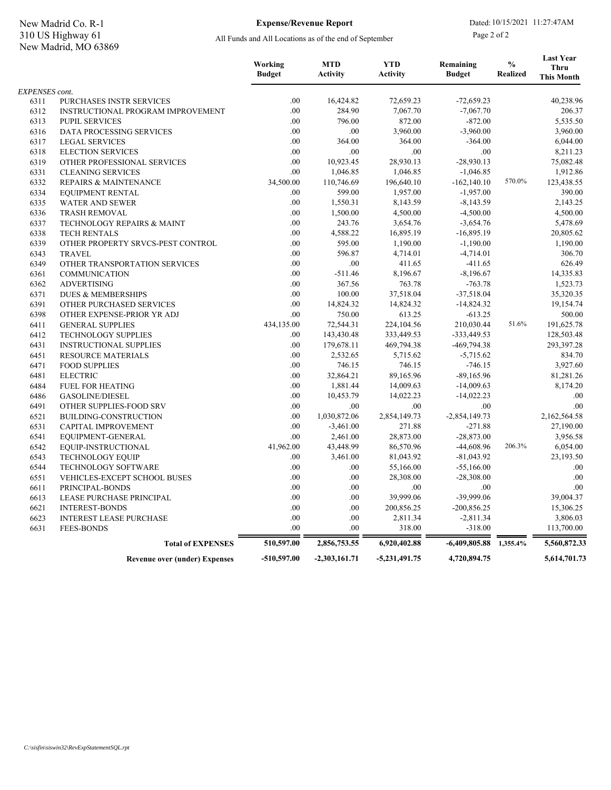## New Madrid, MO 63869 310 US Highway 61

All Funds and All Locations as of the end of September

**Expense/Revenue Report** Dated: 10/15/2021 11:27:47AM Page 2 of 2

|                       |                                      | Working<br><b>Budget</b> | <b>MTD</b><br><b>Activity</b> | <b>YTD</b><br><b>Activity</b> | Remaining<br><b>Budget</b> | $\frac{0}{0}$<br><b>Realized</b> | <b>Last Year</b><br><b>Thru</b><br><b>This Month</b> |
|-----------------------|--------------------------------------|--------------------------|-------------------------------|-------------------------------|----------------------------|----------------------------------|------------------------------------------------------|
| <b>EXPENSES</b> cont. |                                      |                          |                               |                               |                            |                                  |                                                      |
| 6311                  | PURCHASES INSTR SERVICES             | .00                      | 16,424.82                     | 72,659.23                     | $-72,659.23$               |                                  | 40,238.96                                            |
| 6312                  | INSTRUCTIONAL PROGRAM IMPROVEMENT    | .00                      | 284.90                        | 7,067.70                      | $-7,067.70$                |                                  | 206.37                                               |
| 6313                  | <b>PUPIL SERVICES</b>                | .00.                     | 796.00                        | 872.00                        | $-872.00$                  |                                  | 5,535.50                                             |
| 6316                  | DATA PROCESSING SERVICES             | .00.                     | .00.                          | 3,960.00                      | $-3,960.00$                |                                  | 3,960.00                                             |
| 6317                  | <b>LEGAL SERVICES</b>                | .00                      | 364.00                        | 364.00                        | $-364.00$                  |                                  | 6,044.00                                             |
| 6318                  | <b>ELECTION SERVICES</b>             | .00.                     | .00                           | .00                           | .00.                       |                                  | 8,211.23                                             |
| 6319                  | OTHER PROFESSIONAL SERVICES          | .00                      | 10,923.45                     | 28,930.13                     | $-28,930.13$               |                                  | 75,082.48                                            |
| 6331                  | <b>CLEANING SERVICES</b>             | .00                      | 1,046.85                      | 1,046.85                      | $-1,046.85$                |                                  | 1,912.86                                             |
| 6332                  | REPAIRS & MAINTENANCE                | 34,500.00                | 110,746.69                    | 196,640.10                    | $-162, 140.10$             | 570.0%                           | 123,438.55                                           |
| 6334                  | <b>EQUIPMENT RENTAL</b>              | .00                      | 599.00                        | 1,957.00                      | $-1,957.00$                |                                  | 390.00                                               |
| 6335                  | WATER AND SEWER                      | .00                      | 1,550.31                      | 8,143.59                      | $-8,143.59$                |                                  | 2,143.25                                             |
| 6336                  | <b>TRASH REMOVAL</b>                 | .00.                     | 1,500.00                      | 4,500.00                      | $-4,500.00$                |                                  | 4,500.00                                             |
| 6337                  | TECHNOLOGY REPAIRS & MAINT           | .00                      | 243.76                        | 3,654.76                      | $-3,654.76$                |                                  | 5,478.69                                             |
| 6338                  | <b>TECH RENTALS</b>                  | .00                      | 4,588.22                      | 16,895.19                     | $-16,895.19$               |                                  | 20,805.62                                            |
| 6339                  | OTHER PROPERTY SRVCS-PEST CONTROL    | .00.                     | 595.00                        | 1,190.00                      | $-1,190.00$                |                                  | 1,190.00                                             |
| 6343                  | <b>TRAVEL</b>                        | .00.                     | 596.87                        | 4,714.01                      | $-4,714.01$                |                                  | 306.70                                               |
| 6349                  | OTHER TRANSPORTATION SERVICES        | .00.                     | $.00\,$                       | 411.65                        | $-411.65$                  |                                  | 626.49                                               |
| 6361                  | COMMUNICATION                        | .00                      | $-511.46$                     | 8,196.67                      | $-8,196.67$                |                                  | 14,335.83                                            |
| 6362                  | <b>ADVERTISING</b>                   | .00                      | 367.56                        | 763.78                        | $-763.78$                  |                                  | 1,523.73                                             |
| 6371                  | <b>DUES &amp; MEMBERSHIPS</b>        | $.00\,$                  | 100.00                        | 37,518.04                     | $-37,518.04$               |                                  | 35,320.35                                            |
| 6391                  | OTHER PURCHASED SERVICES             | .00                      | 14,824.32                     | 14,824.32                     | $-14,824.32$               |                                  | 19,154.74                                            |
| 6398                  | OTHER EXPENSE-PRIOR YR ADJ           | .00                      | 750.00                        | 613.25                        | $-613.25$                  |                                  | 500.00                                               |
| 6411                  | <b>GENERAL SUPPLIES</b>              | 434,135.00               | 72,544.31                     | 224,104.56                    | 210,030.44                 | 51.6%                            | 191,625.78                                           |
| 6412                  | <b>TECHNOLOGY SUPPLIES</b>           | .00.                     | 143,430.48                    | 333,449.53                    | $-333,449.53$              |                                  | 128,503.48                                           |
| 6431                  | <b>INSTRUCTIONAL SUPPLIES</b>        | .00                      | 179,678.11                    | 469,794.38                    | $-469,794.38$              |                                  | 293,397.28                                           |
| 6451                  | <b>RESOURCE MATERIALS</b>            | .00.                     | 2,532.65                      | 5,715.62                      | $-5,715.62$                |                                  | 834.70                                               |
| 6471                  | <b>FOOD SUPPLIES</b>                 | .00                      | 746.15                        | 746.15                        | $-746.15$                  |                                  | 3,927.60                                             |
| 6481                  | <b>ELECTRIC</b>                      | .00                      | 32,864.21                     | 89,165.96                     | $-89,165.96$               |                                  | 81,281.26                                            |
| 6484                  | <b>FUEL FOR HEATING</b>              | .00.                     | 1,881.44                      | 14,009.63                     | $-14,009.63$               |                                  | 8,174.20                                             |
| 6486                  | <b>GASOLINE/DIESEL</b>               | .00                      | 10,453.79                     | 14,022.23                     | $-14,022.23$               |                                  | .00                                                  |
| 6491                  | OTHER SUPPLIES-FOOD SRV              | .00                      | .00                           | .00                           | .00                        |                                  | .00                                                  |
| 6521                  | BUILDING-CONSTRUCTION                | .00.                     | 1,030,872.06                  | 2,854,149.73                  | $-2,854,149.73$            |                                  | 2,162,564.58                                         |
| 6531                  | CAPITAL IMPROVEMENT                  | .00                      | $-3,461.00$                   | 271.88                        | $-271.88$                  |                                  | 27,190.00                                            |
| 6541                  | EQUIPMENT-GENERAL                    | .00                      | 2,461.00                      | 28,873.00                     | $-28,873.00$               |                                  | 3,956.58                                             |
| 6542                  | EQUIP-INSTRUCTIONAL                  | 41,962.00                | 43,448.99                     | 86,570.96                     | $-44,608.96$               | 206.3%                           | 6,054.00                                             |
| 6543                  | <b>TECHNOLOGY EQUIP</b>              | .00                      | 3,461.00                      | 81,043.92                     | $-81,043.92$               |                                  | 23,193.50                                            |
| 6544                  | TECHNOLOGY SOFTWARE                  | .00                      | .00                           | 55,166.00                     | $-55,166.00$               |                                  | .00                                                  |
| 6551                  | VEHICLES-EXCEPT SCHOOL BUSES         | .00.                     | .00.                          | 28,308.00                     | $-28,308.00$               |                                  | .00                                                  |
| 6611                  | PRINCIPAL-BONDS                      | .00                      | .00                           | .00                           | .00                        |                                  | .00                                                  |
| 6613                  | LEASE PURCHASE PRINCIPAL             | .00                      | .00                           | 39,999.06                     | -39,999.06                 |                                  | 39,004.37                                            |
| 6621                  | <b>INTEREST-BONDS</b>                | .00                      | .00.                          | 200,856.25                    | $-200,856.25$              |                                  | 15,306.25                                            |
| 6623                  | <b>INTEREST LEASE PURCHASE</b>       | .00.                     | .00                           | 2,811.34                      | $-2,811.34$                |                                  | 3,806.03                                             |
| 6631                  | <b>FEES-BONDS</b>                    | .00                      | .00                           | 318.00                        | $-318.00$                  |                                  | 113,700.00                                           |
|                       | <b>Total of EXPENSES</b>             | 510,597.00               | 2,856,753.55                  | 6,920,402.88                  | $-6,409,805.88$            | 1,355.4%                         | 5,560,872.33                                         |
|                       | <b>Revenue over (under) Expenses</b> | $-510,597.00$            | $-2,303,161.71$               | $-5,231,491.75$               | 4,720,894.75               |                                  | 5,614,701.73                                         |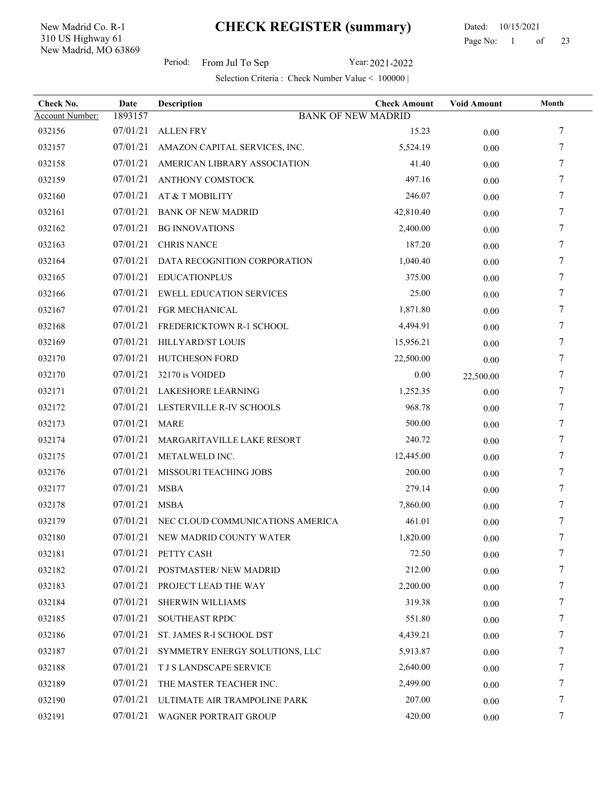New Madrid, MO 63869 310 US Highway 61 New Madrid Co. R-1

#### Dated: 10/15/2021 Page No: 1 of

Period: From Jul To Sep Year: 2021-2022

| Check No.       | Date     | Description                      | <b>Check Amount</b> | <b>Void Amount</b> | Month |
|-----------------|----------|----------------------------------|---------------------|--------------------|-------|
| Account Number: | 1893157  | <b>BANK OF NEW MADRID</b>        |                     |                    |       |
| 032156          | 07/01/21 | <b>ALLEN FRY</b>                 | 15.23               | $0.00\,$           | 7     |
| 032157          | 07/01/21 | AMAZON CAPITAL SERVICES, INC.    | 5,524.19            | 0.00               | 7     |
| 032158          | 07/01/21 | AMERICAN LIBRARY ASSOCIATION     | 41.40               | 0.00               | 7     |
| 032159          | 07/01/21 | ANTHONY COMSTOCK                 | 497.16              | 0.00               | 7     |
| 032160          | 07/01/21 | AT & T MOBILITY                  | 246.07              | 0.00               | 7     |
| 032161          | 07/01/21 | <b>BANK OF NEW MADRID</b>        | 42,810.40           | 0.00               | 7     |
| 032162          | 07/01/21 | <b>BG INNOVATIONS</b>            | 2,400.00            | 0.00               | 7     |
| 032163          | 07/01/21 | <b>CHRIS NANCE</b>               | 187.20              | 0.00               | 7     |
| 032164          | 07/01/21 | DATA RECOGNITION CORPORATION     | 1,040.40            | $0.00\,$           | 7     |
| 032165          | 07/01/21 | <b>EDUCATIONPLUS</b>             | 375.00              | 0.00               | 7     |
| 032166          | 07/01/21 | <b>EWELL EDUCATION SERVICES</b>  | 25.00               | 0.00               | 7     |
| 032167          | 07/01/21 | FGR MECHANICAL                   | 1,871.80            | 0.00               | 7     |
| 032168          | 07/01/21 | FREDERICKTOWN R-1 SCHOOL         | 4,494.91            | 0.00               | 7     |
| 032169          | 07/01/21 | <b>HILLYARD/ST LOUIS</b>         | 15,956.21           | 0.00               | 7     |
| 032170          | 07/01/21 | <b>HUTCHESON FORD</b>            | 22,500.00           | $0.00\,$           | 7     |
| 032170          | 07/01/21 | 32170 is VOIDED                  | 0.00                | 22,500.00          | 7     |
| 032171          | 07/01/21 | LAKESHORE LEARNING               | 1,252.35            | 0.00               | 7     |
| 032172          | 07/01/21 | LESTERVILLE R-IV SCHOOLS         | 968.78              | $0.00\,$           | 7     |
| 032173          | 07/01/21 | <b>MARE</b>                      | 500.00              | 0.00               | 7     |
| 032174          | 07/01/21 | MARGARITAVILLE LAKE RESORT       | 240.72              | 0.00               | 7     |
| 032175          | 07/01/21 | METALWELD INC.                   | 12,445.00           | 0.00               | 7     |
| 032176          | 07/01/21 | MISSOURI TEACHING JOBS           | 200.00              | 0.00               | 7     |
| 032177          | 07/01/21 | <b>MSBA</b>                      | 279.14              | $0.00\,$           | 7     |
| 032178          | 07/01/21 | <b>MSBA</b>                      | 7,860.00            | 0.00               | 7     |
| 032179          | 07/01/21 | NEC CLOUD COMMUNICATIONS AMERICA | 461.01              | 0.00               | 7     |
| 032180          | 07/01/21 | NEW MADRID COUNTY WATER          | 1,820.00            | 0.00               | 7     |
| 032181          | 07/01/21 | PETTY CASH                       | 72.50               | $0.00\,$           | 7     |
| 032182          | 07/01/21 | POSTMASTER/NEW MADRID            | 212.00              | 0.00               | 7     |
| 032183          | 07/01/21 | PROJECT LEAD THE WAY             | 2,200.00            | 0.00               | 7     |
| 032184          | 07/01/21 | SHERWIN WILLIAMS                 | 319.38              | 0.00               | 7     |
| 032185          | 07/01/21 | <b>SOUTHEAST RPDC</b>            | 551.80              | 0.00               | 7     |
| 032186          | 07/01/21 | ST. JAMES R-I SCHOOL DST         | 4,439.21            | 0.00               | 7     |
| 032187          | 07/01/21 | SYMMETRY ENERGY SOLUTIONS, LLC   | 5,913.87            | 0.00               | 7     |
| 032188          | 07/01/21 | <b>T J S LANDSCAPE SERVICE</b>   | 2,640.00            | 0.00               | 7     |
| 032189          | 07/01/21 | THE MASTER TEACHER INC.          | 2,499.00            | 0.00               |       |
| 032190          | 07/01/21 | ULTIMATE AIR TRAMPOLINE PARK     | 207.00              | 0.00               | 7     |
| 032191          | 07/01/21 | WAGNER PORTRAIT GROUP            | 420.00              | $0.00\,$           | 7     |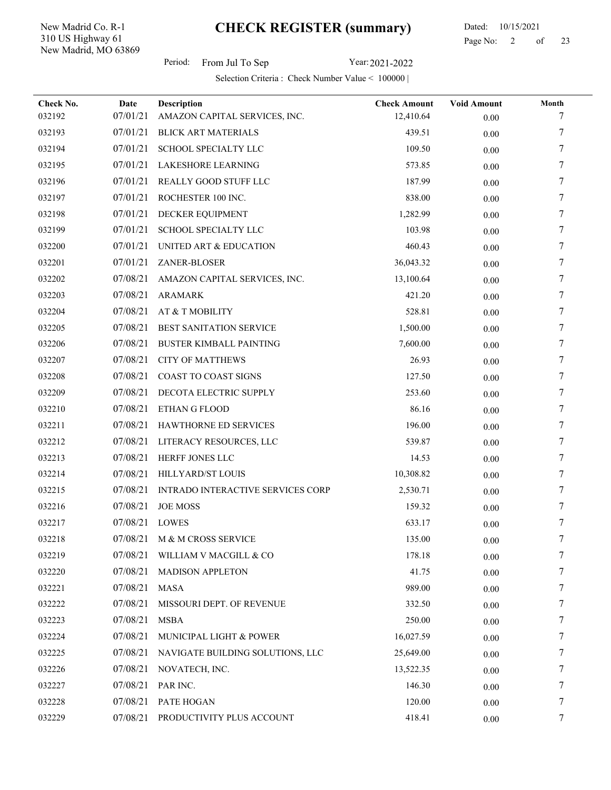New Madrid, MO 63869 310 US Highway 61 New Madrid Co. R-1

 Dated: 10/15/2021 Page No: 2 of

Period: From Jul To Sep Year: 2021-2022

| Check No.<br>032192 | Date<br>07/01/21 | <b>Description</b><br>AMAZON CAPITAL SERVICES, INC. | <b>Check Amount</b><br>12,410.64 | <b>Void Amount</b><br>0.00 | Month<br>7 |
|---------------------|------------------|-----------------------------------------------------|----------------------------------|----------------------------|------------|
| 032193              | 07/01/21         | <b>BLICK ART MATERIALS</b>                          | 439.51                           | 0.00                       | 7          |
| 032194              | 07/01/21         | SCHOOL SPECIALTY LLC                                | 109.50                           | 0.00                       | 7          |
| 032195              | 07/01/21         | <b>LAKESHORE LEARNING</b>                           | 573.85                           | 0.00                       | 7          |
| 032196              | 07/01/21         | REALLY GOOD STUFF LLC                               | 187.99                           | 0.00                       |            |
| 032197              | 07/01/21         | ROCHESTER 100 INC.                                  | 838.00                           | $0.00\,$                   | 7          |
| 032198              | 07/01/21         | <b>DECKER EQUIPMENT</b>                             | 1,282.99                         | 0.00                       | 7          |
| 032199              | 07/01/21         | <b>SCHOOL SPECIALTY LLC</b>                         | 103.98                           | 0.00                       | 7          |
| 032200              | 07/01/21         | UNITED ART & EDUCATION                              | 460.43                           | 0.00                       | 7          |
| 032201              | 07/01/21         | ZANER-BLOSER                                        | 36,043.32                        | 0.00                       | 7          |
| 032202              | 07/08/21         | AMAZON CAPITAL SERVICES, INC.                       | 13,100.64                        | 0.00                       | 7          |
| 032203              | 07/08/21         | <b>ARAMARK</b>                                      | 421.20                           | 0.00                       | 7          |
| 032204              | 07/08/21         | AT & T MOBILITY                                     | 528.81                           | 0.00                       | 7          |
| 032205              | 07/08/21         | BEST SANITATION SERVICE                             | 1,500.00                         | $0.00\,$                   | 7          |
| 032206              | 07/08/21         | <b>BUSTER KIMBALL PAINTING</b>                      | 7,600.00                         | 0.00                       | 7          |
| 032207              | 07/08/21         | <b>CITY OF MATTHEWS</b>                             | 26.93                            | 0.00                       | 7          |
| 032208              | 07/08/21         | COAST TO COAST SIGNS                                | 127.50                           | 0.00                       | 7          |
| 032209              | 07/08/21         | DECOTA ELECTRIC SUPPLY                              | 253.60                           | 0.00                       | 7          |
| 032210              | 07/08/21         | ETHAN G FLOOD                                       | 86.16                            | 0.00                       | 7          |
| 032211              | 07/08/21         | HAWTHORNE ED SERVICES                               | 196.00                           | 0.00                       | 7          |
| 032212              | 07/08/21         | LITERACY RESOURCES, LLC                             | 539.87                           | 0.00                       | 7          |
| 032213              | 07/08/21         | HERFF JONES LLC                                     | 14.53                            | 0.00                       | 7          |
| 032214              | 07/08/21         | HILLYARD/ST LOUIS                                   | 10,308.82                        | 0.00                       | 7          |
| 032215              | 07/08/21         | INTRADO INTERACTIVE SERVICES CORP                   | 2,530.71                         | 0.00                       | 7          |
| 032216              | 07/08/21         | <b>JOE MOSS</b>                                     | 159.32                           | 0.00                       | 7          |
| 032217              | 07/08/21         | LOWES                                               | 633.17                           | $0.00\,$                   |            |
| 032218              |                  | 07/08/21 M & M CROSS SERVICE                        | 135.00                           | 0.00                       |            |
| 032219              | 07/08/21         | WILLIAM V MACGILL & CO                              | 178.18                           | $0.00\,$                   | 7          |
| 032220              | 07/08/21         | <b>MADISON APPLETON</b>                             | 41.75                            | $0.00\,$                   | 7          |
| 032221              | 07/08/21         | MASA                                                | 989.00                           | 0.00                       | 7          |
| 032222              | 07/08/21         | MISSOURI DEPT. OF REVENUE                           | 332.50                           | 0.00                       | 7          |
| 032223              | 07/08/21         | <b>MSBA</b>                                         | 250.00                           | 0.00                       | 7          |
| 032224              | 07/08/21         | MUNICIPAL LIGHT & POWER                             | 16,027.59                        | 0.00                       | 7          |
| 032225              | 07/08/21         | NAVIGATE BUILDING SOLUTIONS, LLC                    | 25,649.00                        | 0.00                       |            |
| 032226              | 07/08/21         | NOVATECH, INC.                                      | 13,522.35                        | $0.00\,$                   | 7          |
| 032227              | 07/08/21         | PAR INC.                                            | 146.30                           | 0.00                       | 7          |
| 032228              | 07/08/21         | PATE HOGAN                                          | 120.00                           | $0.00\,$                   | 7          |
| 032229              | 07/08/21         | PRODUCTIVITY PLUS ACCOUNT                           | 418.41                           | $0.00\,$                   | 7          |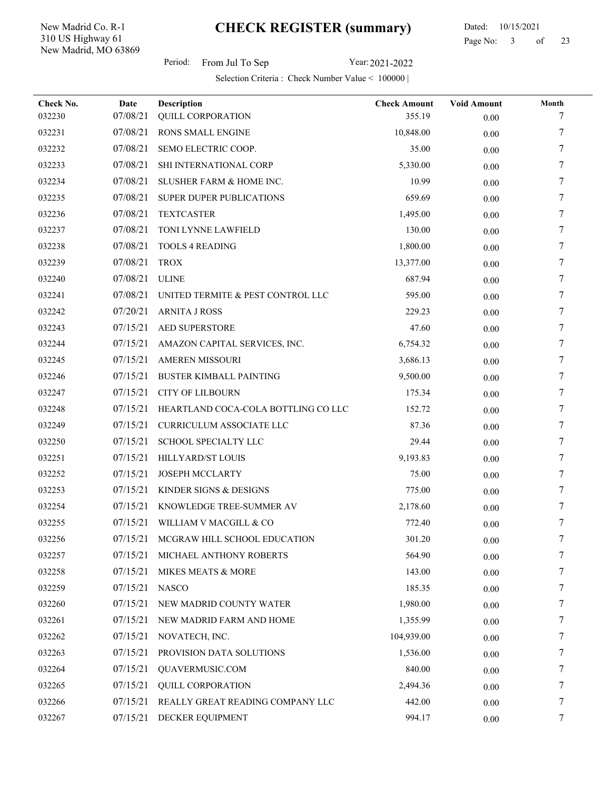New Madrid, MO 63869 310 US Highway 61 New Madrid Co. R-1

Period: From Jul To Sep Year: 2021-2022

| Check No. | Date<br>07/08/21 | <b>Description</b><br>QUILL CORPORATION | <b>Check Amount</b><br>355.19 | <b>Void Amount</b> | Month<br>7 |
|-----------|------------------|-----------------------------------------|-------------------------------|--------------------|------------|
| 032230    | 07/08/21         |                                         |                               | 0.00               |            |
| 032231    | 07/08/21         | <b>RONS SMALL ENGINE</b>                | 10,848.00                     | 0.00               |            |
| 032232    |                  | SEMO ELECTRIC COOP.                     | 35.00                         | 0.00               | 7          |
| 032233    | 07/08/21         | SHI INTERNATIONAL CORP                  | 5,330.00                      | 0.00               | 7          |
| 032234    | 07/08/21         | SLUSHER FARM & HOME INC.                | 10.99                         | 0.00               |            |
| 032235    | 07/08/21         | SUPER DUPER PUBLICATIONS                | 659.69                        | $0.00\,$           | 7          |
| 032236    | 07/08/21         | <b>TEXTCASTER</b>                       | 1,495.00                      | 0.00               | 7          |
| 032237    | 07/08/21         | TONI LYNNE LAWFIELD                     | 130.00                        | 0.00               | 7          |
| 032238    | 07/08/21         | <b>TOOLS 4 READING</b>                  | 1,800.00                      | 0.00               | 7          |
| 032239    | 07/08/21         | <b>TROX</b>                             | 13,377.00                     | 0.00               | 7          |
| 032240    | 07/08/21         | <b>ULINE</b>                            | 687.94                        | 0.00               | 7          |
| 032241    | 07/08/21         | UNITED TERMITE & PEST CONTROL LLC       | 595.00                        | 0.00               | 7          |
| 032242    | 07/20/21         | <b>ARNITA J ROSS</b>                    | 229.23                        | 0.00               | 7          |
| 032243    | 07/15/21         | <b>AED SUPERSTORE</b>                   | 47.60                         | $0.00\,$           | 7          |
| 032244    | 07/15/21         | AMAZON CAPITAL SERVICES, INC.           | 6,754.32                      | 0.00               | 7          |
| 032245    | 07/15/21         | <b>AMEREN MISSOURI</b>                  | 3,686.13                      | 0.00               |            |
| 032246    | 07/15/21         | <b>BUSTER KIMBALL PAINTING</b>          | 9,500.00                      | 0.00               | 7          |
| 032247    | 07/15/21         | <b>CITY OF LILBOURN</b>                 | 175.34                        | 0.00               | 7          |
| 032248    | 07/15/21         | HEARTLAND COCA-COLA BOTTLING CO LLC     | 152.72                        | 0.00               | 7          |
| 032249    | 07/15/21         | CURRICULUM ASSOCIATE LLC                | 87.36                         | 0.00               | 7          |
| 032250    | 07/15/21         | SCHOOL SPECIALTY LLC                    | 29.44                         | 0.00               | 7          |
| 032251    | 07/15/21         | HILLYARD/ST LOUIS                       | 9,193.83                      | 0.00               | 7          |
| 032252    | 07/15/21         | <b>JOSEPH MCCLARTY</b>                  | 75.00                         | 0.00               | 7          |
| 032253    | 07/15/21         | KINDER SIGNS & DESIGNS                  | 775.00                        | 0.00               | 7          |
| 032254    | 07/15/21         | KNOWLEDGE TREE-SUMMER AV                | 2,178.60                      | 0.00               | 7          |
| 032255    | 07/15/21         | WILLIAM V MACGILL & CO                  | 772.40                        | $0.00\,$           |            |
| 032256    |                  | 07/15/21 MCGRAW HILL SCHOOL EDUCATION   | 301.20                        | 0.00               |            |
| 032257    | 07/15/21         | MICHAEL ANTHONY ROBERTS                 | 564.90                        | $0.00\,$           | 7          |
| 032258    | 07/15/21         | MIKES MEATS & MORE                      | 143.00                        | $0.00\,$           | 7          |
| 032259    | 07/15/21         | <b>NASCO</b>                            | 185.35                        | 0.00               | 7          |
| 032260    | 07/15/21         | NEW MADRID COUNTY WATER                 | 1,980.00                      | 0.00               | 7          |
| 032261    | 07/15/21         | NEW MADRID FARM AND HOME                | 1,355.99                      | $0.00\,$           | 7          |
| 032262    | 07/15/21         | NOVATECH, INC.                          | 104,939.00                    | $0.00\,$           | 7          |
| 032263    | 07/15/21         | PROVISION DATA SOLUTIONS                | 1,536.00                      | 0.00               | 7          |
| 032264    | 07/15/21         | QUAVERMUSIC.COM                         | 840.00                        | $0.00\,$           | 7          |
| 032265    | 07/15/21         | <b>QUILL CORPORATION</b>                | 2,494.36                      | $0.00\,$           | 7          |
| 032266    | 07/15/21         | REALLY GREAT READING COMPANY LLC        | 442.00                        | $0.00\,$           | 7          |
| 032267    | 07/15/21         | DECKER EQUIPMENT                        | 994.17                        | $0.00\,$           | 7          |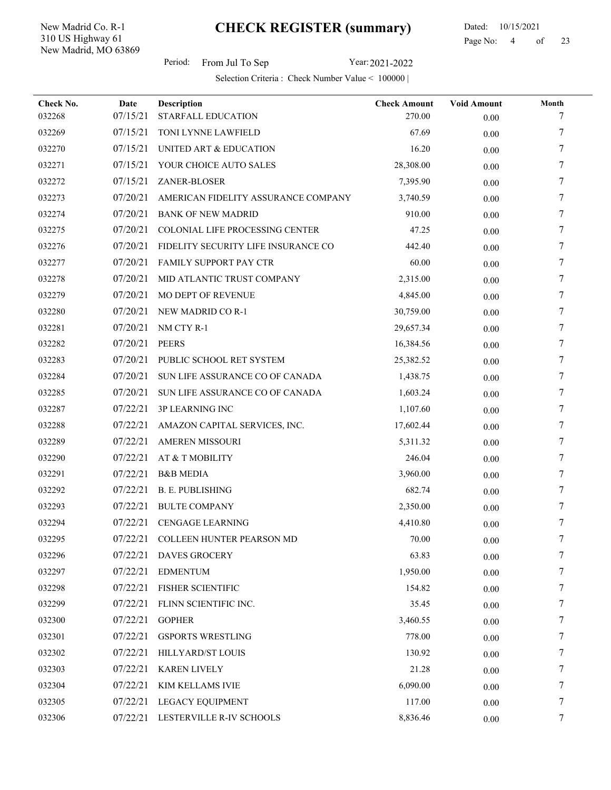New Madrid, MO 63869 310 US Highway 61 New Madrid Co. R-1

Period: From Jul To Sep Year: 2021-2022

| Check No.<br>032268 | Date<br>07/15/21 | Description<br>STARFALL EDUCATION   | <b>Check Amount</b><br>270.00 | <b>Void Amount</b> | Month<br>7 |
|---------------------|------------------|-------------------------------------|-------------------------------|--------------------|------------|
| 032269              | 07/15/21         | TONI LYNNE LAWFIELD                 | 67.69                         | 0.00               | 7          |
| 032270              | 07/15/21         | UNITED ART & EDUCATION              | 16.20                         | $0.00\,$           | 7          |
| 032271              | 07/15/21         | YOUR CHOICE AUTO SALES              | 28,308.00                     | $0.00\,$           | 7          |
|                     | 07/15/21         | <b>ZANER-BLOSER</b>                 |                               | 0.00               | 7          |
| 032272              |                  | AMERICAN FIDELITY ASSURANCE COMPANY | 7,395.90                      | 0.00               |            |
| 032273              | 07/20/21         |                                     | 3,740.59                      | 0.00               | 7<br>7     |
| 032274              | 07/20/21         | <b>BANK OF NEW MADRID</b>           | 910.00                        | 0.00               |            |
| 032275              | 07/20/21         | COLONIAL LIFE PROCESSING CENTER     | 47.25                         | 0.00               | 7          |
| 032276              | 07/20/21         | FIDELITY SECURITY LIFE INSURANCE CO | 442.40                        | 0.00               | 7          |
| 032277              | 07/20/21         | FAMILY SUPPORT PAY CTR              | 60.00                         | 0.00               | 7          |
| 032278              | 07/20/21         | MID ATLANTIC TRUST COMPANY          | 2,315.00                      | 0.00               | 7          |
| 032279              | 07/20/21         | MO DEPT OF REVENUE                  | 4,845.00                      | 0.00               | 7          |
| 032280              | 07/20/21         | NEW MADRID CO R-1                   | 30,759.00                     | 0.00               | 7          |
| 032281              | 07/20/21         | NM CTY R-1                          | 29,657.34                     | 0.00               | 7          |
| 032282              | 07/20/21         | <b>PEERS</b>                        | 16,384.56                     | 0.00               | 7          |
| 032283              | 07/20/21         | PUBLIC SCHOOL RET SYSTEM            | 25,382.52                     | 0.00               | 7          |
| 032284              | 07/20/21         | SUN LIFE ASSURANCE CO OF CANADA     | 1,438.75                      | 0.00               | 7          |
| 032285              | 07/20/21         | SUN LIFE ASSURANCE CO OF CANADA     | 1,603.24                      | 0.00               | 7          |
| 032287              | 07/22/21         | <b>3P LEARNING INC</b>              | 1,107.60                      | 0.00               | 7          |
| 032288              | 07/22/21         | AMAZON CAPITAL SERVICES, INC.       | 17,602.44                     | 0.00               | 7          |
| 032289              | 07/22/21         | <b>AMEREN MISSOURI</b>              | 5,311.32                      | 0.00               | 7          |
| 032290              | 07/22/21         | AT & T MOBILITY                     | 246.04                        | 0.00               | 7          |
| 032291              | 07/22/21         | <b>B&amp;B MEDIA</b>                | 3,960.00                      | 0.00               | 7          |
| 032292              | 07/22/21         | <b>B. E. PUBLISHING</b>             | 682.74                        | 0.00               | 7          |
| 032293              | 07/22/21         | <b>BULTE COMPANY</b>                | 2,350.00                      | $0.00\,$           | 7          |
| 032294              | 07/22/21         | <b>CENGAGE LEARNING</b>             | 4,410.80                      | 0.00               | 7          |
| 032295              |                  | 07/22/21 COLLEEN HUNTER PEARSON MD  | 70.00                         | 0.00               | 7          |
| 032296              | 07/22/21         | <b>DAVES GROCERY</b>                | 63.83                         | 0.00               | 7          |
| 032297              | 07/22/21         | <b>EDMENTUM</b>                     | 1,950.00                      | 0.00               | 7          |
| 032298              | 07/22/21         | FISHER SCIENTIFIC                   | 154.82                        | 0.00               | 7          |
| 032299              | 07/22/21         | FLINN SCIENTIFIC INC.               | 35.45                         | $0.00\,$           | 7          |
| 032300              | 07/22/21         | <b>GOPHER</b>                       | 3,460.55                      | 0.00               | 7          |
| 032301              | 07/22/21         | <b>GSPORTS WRESTLING</b>            | 778.00                        | 0.00               | 7          |
| 032302              | 07/22/21         | HILLYARD/ST LOUIS                   | 130.92                        | $0.00\,$           | 7          |
| 032303              | 07/22/21         | <b>KAREN LIVELY</b>                 | 21.28                         | 0.00               | 7          |
| 032304              | 07/22/21         | KIM KELLAMS IVIE                    | 6,090.00                      | 0.00               | 7          |
| 032305              | 07/22/21         | LEGACY EQUIPMENT                    | 117.00                        | 0.00               | 7          |
| 032306              | 07/22/21         | LESTERVILLE R-IV SCHOOLS            | 8,836.46                      | $0.00\,$           | 7          |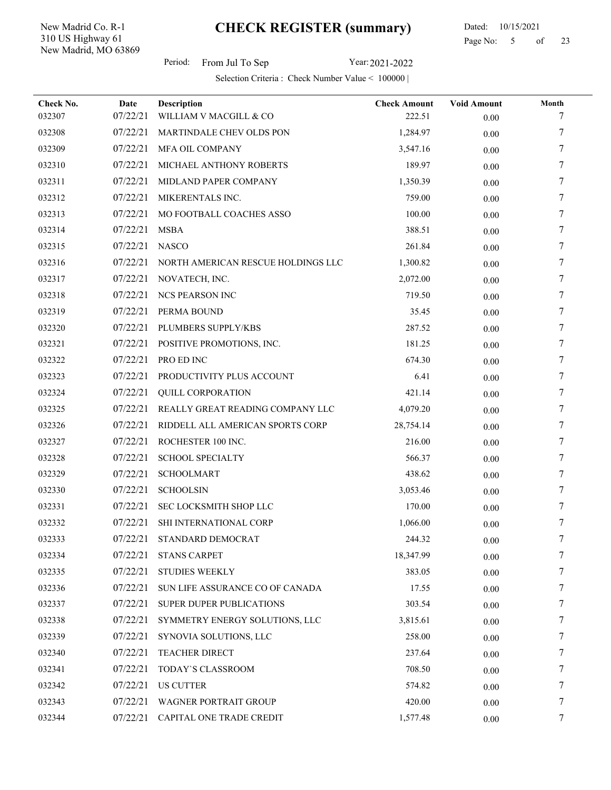New Madrid, MO 63869 310 US Highway 61 New Madrid Co. R-1

 Dated: 10/15/2021 Page No: 5 of

Period: From Jul To Sep Year: 2021-2022

| Selection Criteria : Check Number Value < 100000 |
|--------------------------------------------------|
|                                                  |

| Check No. | Date     | Description                        | <b>Check Amount</b> | <b>Void Amount</b> | Month |
|-----------|----------|------------------------------------|---------------------|--------------------|-------|
| 032307    | 07/22/21 | WILLIAM V MACGILL & CO             | 222.51              | 0.00               |       |
| 032308    | 07/22/21 | MARTINDALE CHEV OLDS PON           | 1,284.97            | 0.00               | 7     |
| 032309    | 07/22/21 | MFA OIL COMPANY                    | 3,547.16            | 0.00               | 7     |
| 032310    | 07/22/21 | MICHAEL ANTHONY ROBERTS            | 189.97              | 0.00               | 7     |
| 032311    | 07/22/21 | MIDLAND PAPER COMPANY              | 1,350.39            | 0.00               | 7     |
| 032312    | 07/22/21 | MIKERENTALS INC.                   | 759.00              | 0.00               | 7     |
| 032313    | 07/22/21 | MO FOOTBALL COACHES ASSO           | 100.00              | 0.00               | 7     |
| 032314    | 07/22/21 | <b>MSBA</b>                        | 388.51              | 0.00               | 7     |
| 032315    | 07/22/21 | <b>NASCO</b>                       | 261.84              | 0.00               | 7     |
| 032316    | 07/22/21 | NORTH AMERICAN RESCUE HOLDINGS LLC | 1,300.82            | $0.00\,$           | 7     |
| 032317    | 07/22/21 | NOVATECH, INC.                     | 2,072.00            | 0.00               | 7     |
| 032318    | 07/22/21 | <b>NCS PEARSON INC</b>             | 719.50              | $0.00\,$           | 7     |
| 032319    | 07/22/21 | PERMA BOUND                        | 35.45               | 0.00               | 7     |
| 032320    | 07/22/21 | PLUMBERS SUPPLY/KBS                | 287.52              | 0.00               | 7     |
| 032321    | 07/22/21 | POSITIVE PROMOTIONS, INC.          | 181.25              | 0.00               | 7     |
| 032322    | 07/22/21 | PRO ED INC                         | 674.30              | 0.00               | 7     |
| 032323    | 07/22/21 | PRODUCTIVITY PLUS ACCOUNT          | 6.41                | 0.00               | 7     |
| 032324    | 07/22/21 | QUILL CORPORATION                  | 421.14              | $0.00\,$           | 7     |
| 032325    | 07/22/21 | REALLY GREAT READING COMPANY LLC   | 4,079.20            | 0.00               | 7     |
| 032326    | 07/22/21 | RIDDELL ALL AMERICAN SPORTS CORP   | 28,754.14           | 0.00               | 7     |
| 032327    | 07/22/21 | ROCHESTER 100 INC.                 | 216.00              | 0.00               | 7     |
| 032328    | 07/22/21 | <b>SCHOOL SPECIALTY</b>            | 566.37              | 0.00               | 7     |
| 032329    | 07/22/21 | <b>SCHOOLMART</b>                  | 438.62              | 0.00               | 7     |
| 032330    | 07/22/21 | <b>SCHOOLSIN</b>                   | 3,053.46            | 0.00               | 7     |
| 032331    | 07/22/21 | SEC LOCKSMITH SHOP LLC             | 170.00              | 0.00               | 7     |
| 032332    | 07/22/21 | SHI INTERNATIONAL CORP             | 1,066.00            | $0.00\,$           | 7     |
| 032333    | 07/22/21 | STANDARD DEMOCRAT                  | 244.32              | $0.00\,$           | 7     |
| 032334    | 07/22/21 | <b>STANS CARPET</b>                | 18,347.99           | $0.00\,$           | 7     |
| 032335    | 07/22/21 | <b>STUDIES WEEKLY</b>              | 383.05              | 0.00               | 7     |
| 032336    | 07/22/21 | SUN LIFE ASSURANCE CO OF CANADA    | 17.55               | 0.00               |       |
| 032337    | 07/22/21 | <b>SUPER DUPER PUBLICATIONS</b>    | 303.54              | 0.00               | 7     |
| 032338    | 07/22/21 | SYMMETRY ENERGY SOLUTIONS, LLC     | 3,815.61            | 0.00               | 7     |
| 032339    | 07/22/21 | SYNOVIA SOLUTIONS, LLC             | 258.00              | $0.00\,$           | 7     |
| 032340    | 07/22/21 | <b>TEACHER DIRECT</b>              | 237.64              | 0.00               | 7     |
| 032341    | 07/22/21 | TODAY'S CLASSROOM                  | 708.50              | 0.00               |       |
| 032342    | 07/22/21 | US CUTTER                          | 574.82              | 0.00               | 7     |
| 032343    | 07/22/21 | <b>WAGNER PORTRAIT GROUP</b>       | 420.00              | 0.00               | 7     |
| 032344    | 07/22/21 | CAPITAL ONE TRADE CREDIT           | 1,577.48            | 0.00               | 7     |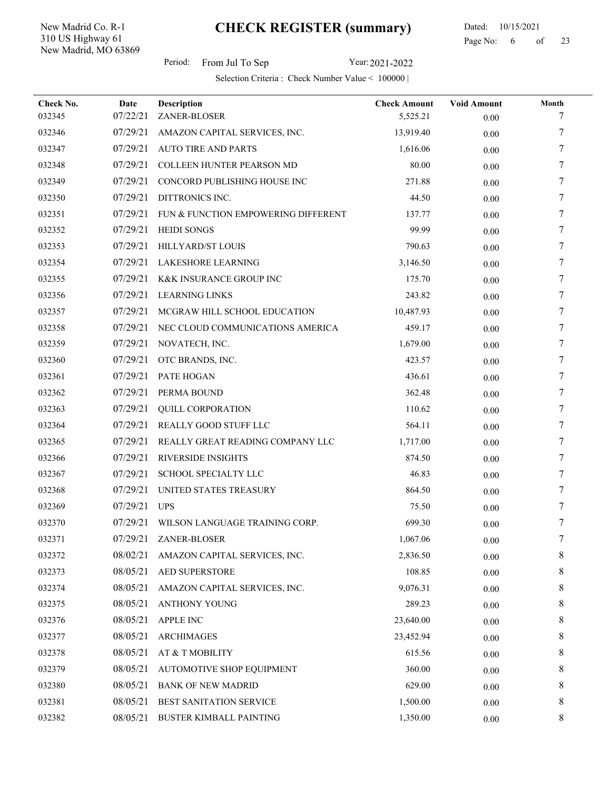New Madrid, MO 63869 310 US Highway 61 New Madrid Co. R-1

#### Dated: 10/15/2021 Page No: 6 of

Period: From Jul To Sep Year: 2021-2022

| Check No.<br>032345 | Date<br>07/22/21 | <b>Description</b><br>ZANER-BLOSER  | <b>Check Amount</b><br>5,525.21 | <b>Void Amount</b><br>0.00 | Month<br>7 |
|---------------------|------------------|-------------------------------------|---------------------------------|----------------------------|------------|
| 032346              | 07/29/21         | AMAZON CAPITAL SERVICES, INC.       | 13,919.40                       | 0.00                       | 7          |
| 032347              | 07/29/21         | <b>AUTO TIRE AND PARTS</b>          | 1,616.06                        | 0.00                       | 7          |
| 032348              | 07/29/21         | COLLEEN HUNTER PEARSON MD           | 80.00                           | 0.00                       | 7          |
| 032349              | 07/29/21         | CONCORD PUBLISHING HOUSE INC        | 271.88                          | 0.00                       |            |
| 032350              | 07/29/21         | DITTRONICS INC.                     | 44.50                           | $0.00\,$                   | 7          |
| 032351              | 07/29/21         | FUN & FUNCTION EMPOWERING DIFFERENT | 137.77                          | 0.00                       | 7          |
| 032352              | 07/29/21         | <b>HEIDI SONGS</b>                  | 99.99                           | 0.00                       | 7          |
| 032353              | 07/29/21         | HILLYARD/ST LOUIS                   | 790.63                          | 0.00                       | 7          |
| 032354              | 07/29/21         | LAKESHORE LEARNING                  | 3,146.50                        | 0.00                       | 7          |
| 032355              | 07/29/21         | <b>K&amp;K INSURANCE GROUP INC</b>  | 175.70                          | 0.00                       | 7          |
| 032356              | 07/29/21         | <b>LEARNING LINKS</b>               | 243.82                          | 0.00                       | 7          |
| 032357              | 07/29/21         | MCGRAW HILL SCHOOL EDUCATION        | 10,487.93                       | 0.00                       | 7          |
| 032358              | 07/29/21         | NEC CLOUD COMMUNICATIONS AMERICA    | 459.17                          | $0.00\,$                   | 7          |
| 032359              | 07/29/21         | NOVATECH, INC.                      | 1,679.00                        | 0.00                       | 7          |
| 032360              | 07/29/21         | OTC BRANDS, INC.                    | 423.57                          | 0.00                       | 7          |
| 032361              | 07/29/21         | PATE HOGAN                          | 436.61                          | 0.00                       | 7          |
| 032362              | 07/29/21         | PERMA BOUND                         | 362.48                          | 0.00                       | 7          |
| 032363              | 07/29/21         | <b>QUILL CORPORATION</b>            | 110.62                          | 0.00                       | 7          |
| 032364              | 07/29/21         | REALLY GOOD STUFF LLC               | 564.11                          | 0.00                       | 7          |
| 032365              | 07/29/21         | REALLY GREAT READING COMPANY LLC    | 1,717.00                        | 0.00                       | 7          |
| 032366              | 07/29/21         | <b>RIVERSIDE INSIGHTS</b>           | 874.50                          | 0.00                       | 7          |
| 032367              | 07/29/21         | SCHOOL SPECIALTY LLC                | 46.83                           | 0.00                       | 7          |
| 032368              | 07/29/21         | UNITED STATES TREASURY              | 864.50                          | 0.00                       | 7          |
| 032369              | 07/29/21         | <b>UPS</b>                          | 75.50                           | 0.00                       | 7          |
| 032370              | 07/29/21         | WILSON LANGUAGE TRAINING CORP.      | 699.30                          | 0.00                       |            |
| 032371              |                  | 07/29/21 ZANER-BLOSER               | 1,067.06                        | 0.00                       |            |
| 032372              | 08/02/21         | AMAZON CAPITAL SERVICES, INC.       | 2,836.50                        | $0.00\,$                   | 8          |
| 032373              | 08/05/21         | AED SUPERSTORE                      | 108.85                          | $0.00\,$                   | 8          |
| 032374              | 08/05/21         | AMAZON CAPITAL SERVICES, INC.       | 9,076.31                        | $0.00\,$                   | 8          |
| 032375              | 08/05/21         | <b>ANTHONY YOUNG</b>                | 289.23                          | 0.00                       | 8          |
| 032376              | 08/05/21         | <b>APPLE INC</b>                    | 23,640.00                       | $0.00\,$                   | 8          |
| 032377              | 08/05/21         | <b>ARCHIMAGES</b>                   | 23,452.94                       | $0.00\,$                   | 8          |
| 032378              | 08/05/21         | AT & T MOBILITY                     | 615.56                          | 0.00                       | 8          |
| 032379              | 08/05/21         | AUTOMOTIVE SHOP EQUIPMENT           | 360.00                          | $0.00\,$                   | 8          |
| 032380              | 08/05/21         | <b>BANK OF NEW MADRID</b>           | 629.00                          | $0.00\,$                   | 8          |
| 032381              | 08/05/21         | BEST SANITATION SERVICE             | 1,500.00                        | $0.00\,$                   | 8          |
| 032382              | 08/05/21         | BUSTER KIMBALL PAINTING             | 1,350.00                        | $0.00\,$                   | 8          |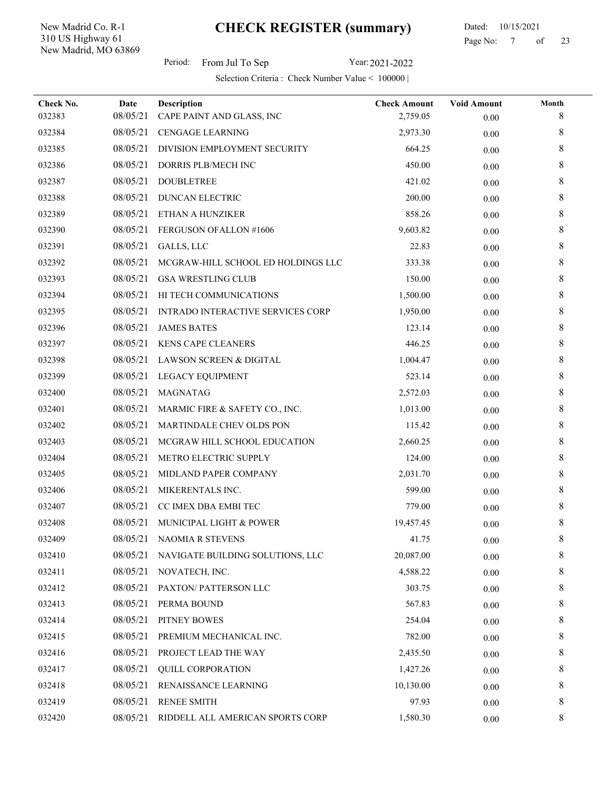New Madrid, MO 63869 310 US Highway 61 New Madrid Co. R-1

 Dated: 10/15/2021 Page No: 7 of

Period: From Jul To Sep Year: 2021-2022

| Check No.<br>032383 | Date<br>08/05/21 | Description<br>CAPE PAINT AND GLASS, INC | <b>Check Amount</b><br>2,759.05 | <b>Void Amount</b><br>0.00 | Month<br>8 |
|---------------------|------------------|------------------------------------------|---------------------------------|----------------------------|------------|
| 032384              | 08/05/21         | <b>CENGAGE LEARNING</b>                  | 2,973.30                        | 0.00                       | 8          |
| 032385              | 08/05/21         | DIVISION EMPLOYMENT SECURITY             | 664.25                          | 0.00                       | 8          |
| 032386              | 08/05/21         | DORRIS PLB/MECH INC                      | 450.00                          | 0.00                       | 8          |
| 032387              | 08/05/21         | <b>DOUBLETREE</b>                        | 421.02                          | 0.00                       | 8          |
| 032388              | 08/05/21         | <b>DUNCAN ELECTRIC</b>                   | 200.00                          | $0.00\,$                   | 8          |
| 032389              | 08/05/21         | ETHAN A HUNZIKER                         | 858.26                          | 0.00                       | 8          |
| 032390              | 08/05/21         | FERGUSON OFALLON #1606                   | 9,603.82                        | $0.00\,$                   | 8          |
| 032391              | 08/05/21         | GALLS, LLC                               | 22.83                           | $0.00\,$                   | 8          |
| 032392              | 08/05/21         | MCGRAW-HILL SCHOOL ED HOLDINGS LLC       | 333.38                          | 0.00                       | 8          |
| 032393              | 08/05/21         | <b>GSA WRESTLING CLUB</b>                | 150.00                          | 0.00                       | 8          |
| 032394              | 08/05/21         | HI TECH COMMUNICATIONS                   | 1,500.00                        | 0.00                       | 8          |
| 032395              | 08/05/21         | INTRADO INTERACTIVE SERVICES CORP        | 1,950.00                        | 0.00                       | 8          |
| 032396              | 08/05/21         | <b>JAMES BATES</b>                       | 123.14                          | $0.00\,$                   | 8          |
| 032397              | 08/05/21         | <b>KENS CAPE CLEANERS</b>                | 446.25                          | 0.00                       | 8          |
| 032398              | 08/05/21         | LAWSON SCREEN & DIGITAL                  | 1,004.47                        | 0.00                       | 8          |
| 032399              | 08/05/21         | LEGACY EQUIPMENT                         | 523.14                          | $0.00\,$                   | 8          |
| 032400              | 08/05/21         | MAGNATAG                                 | 2,572.03                        | 0.00                       | 8          |
| 032401              | 08/05/21         | MARMIC FIRE & SAFETY CO., INC.           | 1,013.00                        | 0.00                       | 8          |
| 032402              | 08/05/21         | MARTINDALE CHEV OLDS PON                 | 115.42                          | 0.00                       | 8          |
| 032403              | 08/05/21         | MCGRAW HILL SCHOOL EDUCATION             | 2,660.25                        | 0.00                       | 8          |
| 032404              | 08/05/21         | METRO ELECTRIC SUPPLY                    | 124.00                          | 0.00                       | 8          |
| 032405              | 08/05/21         | MIDLAND PAPER COMPANY                    | 2,031.70                        | 0.00                       | 8          |
| 032406              | 08/05/21         | MIKERENTALS INC.                         | 599.00                          | $0.00\,$                   | 8          |
| 032407              | 08/05/21         | CC IMEX DBA EMBI TEC                     | 779.00                          | 0.00                       | 8          |
| 032408              | 08/05/21         | MUNICIPAL LIGHT & POWER                  | 19,457.45                       | $0.00\,$                   | 8          |
| 032409              |                  | 08/05/21 NAOMIA R STEVENS                | 41.75                           | 0.00                       | 8          |
| 032410              | 08/05/21         | NAVIGATE BUILDING SOLUTIONS, LLC         | 20,087.00                       | $0.00\,$                   | 8          |
| 032411              | 08/05/21         | NOVATECH, INC.                           | 4,588.22                        | $0.00\,$                   | 8          |
| 032412              | 08/05/21         | PAXTON/PATTERSON LLC                     | 303.75                          | 0.00                       | 8          |
| 032413              | 08/05/21         | PERMA BOUND                              | 567.83                          | 0.00                       | 8          |
| 032414              | 08/05/21         | PITNEY BOWES                             | 254.04                          | $0.00\,$                   | 8          |
| 032415              | 08/05/21         | PREMIUM MECHANICAL INC.                  | 782.00                          | $0.00\,$                   | 8          |
| 032416              | 08/05/21         | PROJECT LEAD THE WAY                     | 2,435.50                        | 0.00                       | 8          |
| 032417              | 08/05/21         | <b>QUILL CORPORATION</b>                 | 1,427.26                        | $0.00\,$                   | 8          |
| 032418              | 08/05/21         | RENAISSANCE LEARNING                     | 10,130.00                       | $0.00\,$                   | 8          |
| 032419              | 08/05/21         | <b>RENEE SMITH</b>                       | 97.93                           | $0.00\,$                   | 8          |
| 032420              | 08/05/21         | RIDDELL ALL AMERICAN SPORTS CORP         | 1,580.30                        | $0.00\,$                   | 8          |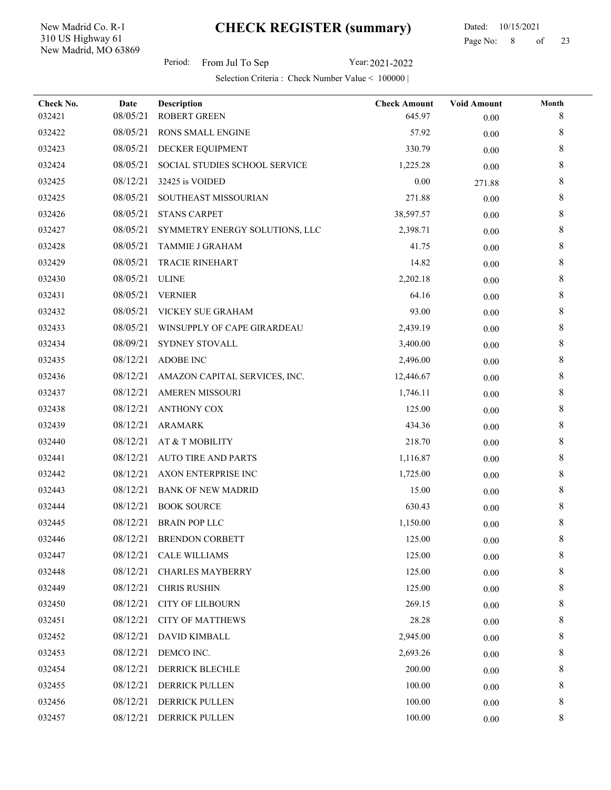New Madrid, MO 63869 310 US Highway 61 New Madrid Co. R-1

 Dated: 10/15/2021 Page No: 8 of

Period: From Jul To Sep Year: 2021-2022

| Check No.<br>032421 | Date<br>08/05/21 | <b>Description</b><br><b>ROBERT GREEN</b> | <b>Check Amount</b><br>645.97 | <b>Void Amount</b><br>0.00 | Month<br>8  |
|---------------------|------------------|-------------------------------------------|-------------------------------|----------------------------|-------------|
| 032422              | 08/05/21         | RONS SMALL ENGINE                         | 57.92                         | 0.00                       | 8           |
| 032423              | 08/05/21         | DECKER EQUIPMENT                          | 330.79                        | 0.00                       | 8           |
| 032424              | 08/05/21         | SOCIAL STUDIES SCHOOL SERVICE             | 1,225.28                      | 0.00                       | 8           |
| 032425              | 08/12/21         | 32425 is VOIDED                           | 0.00                          | 271.88                     | 8           |
| 032425              | 08/05/21         | SOUTHEAST MISSOURIAN                      | 271.88                        | 0.00                       | 8           |
| 032426              | 08/05/21         | <b>STANS CARPET</b>                       | 38,597.57                     | 0.00                       | 8           |
| 032427              | 08/05/21         | SYMMETRY ENERGY SOLUTIONS, LLC            | 2,398.71                      | 0.00                       | 8           |
| 032428              | 08/05/21         | TAMMIE J GRAHAM                           | 41.75                         | 0.00                       | 8           |
| 032429              | 08/05/21         | TRACIE RINEHART                           | 14.82                         | 0.00                       | 8           |
| 032430              | 08/05/21         | <b>ULINE</b>                              | 2,202.18                      | 0.00                       | 8           |
| 032431              | 08/05/21         | <b>VERNIER</b>                            | 64.16                         | 0.00                       | 8           |
| 032432              | 08/05/21         | VICKEY SUE GRAHAM                         | 93.00                         | 0.00                       | 8           |
| 032433              | 08/05/21         | WINSUPPLY OF CAPE GIRARDEAU               | 2,439.19                      | $0.00\,$                   | 8           |
| 032434              | 08/09/21         | SYDNEY STOVALL                            | 3,400.00                      | 0.00                       | 8           |
| 032435              | 08/12/21         | ADOBE INC                                 | 2,496.00                      | $0.00\,$                   | 8           |
| 032436              | 08/12/21         | AMAZON CAPITAL SERVICES, INC.             | 12,446.67                     | $0.00\,$                   | 8           |
| 032437              | 08/12/21         | <b>AMEREN MISSOURI</b>                    | 1,746.11                      | 0.00                       | 8           |
| 032438              | 08/12/21         | <b>ANTHONY COX</b>                        | 125.00                        | 0.00                       | 8           |
| 032439              | 08/12/21         | ARAMARK                                   | 434.36                        | 0.00                       | 8           |
| 032440              | 08/12/21         | AT & T MOBILITY                           | 218.70                        | $0.00\,$                   | 8           |
| 032441              | 08/12/21         | <b>AUTO TIRE AND PARTS</b>                | 1,116.87                      | $0.00\,$                   | 8           |
| 032442              | 08/12/21         | AXON ENTERPRISE INC                       | 1,725.00                      | 0.00                       | 8           |
| 032443              | 08/12/21         | <b>BANK OF NEW MADRID</b>                 | 15.00                         | 0.00                       | 8           |
| 032444              | 08/12/21         | <b>BOOK SOURCE</b>                        | 630.43                        | 0.00                       | 8           |
| 032445              | 08/12/21         | <b>BRAIN POP LLC</b>                      | 1,150.00                      | $0.00\,$                   | 8           |
| 032446              |                  | 08/12/21 BRENDON CORBETT                  | 125.00                        | 0.00                       | 8           |
| 032447              | 08/12/21         | <b>CALE WILLIAMS</b>                      | 125.00                        | $0.00\,$                   | 8           |
| 032448              | 08/12/21         | <b>CHARLES MAYBERRY</b>                   | 125.00                        | $0.00\,$                   | 8           |
| 032449              | 08/12/21         | <b>CHRIS RUSHIN</b>                       | 125.00                        | 0.00                       | $\,$ 8 $\,$ |
| 032450              | 08/12/21         | <b>CITY OF LILBOURN</b>                   | 269.15                        | 0.00                       | 8           |
| 032451              | 08/12/21         | <b>CITY OF MATTHEWS</b>                   | 28.28                         | $0.00\,$                   | 8           |
| 032452              | 08/12/21         | <b>DAVID KIMBALL</b>                      | 2,945.00                      | 0.00                       | 8           |
| 032453              | 08/12/21         | DEMCO INC.                                | 2,693.26                      | 0.00                       | 8           |
| 032454              | 08/12/21         | DERRICK BLECHLE                           | 200.00                        | $0.00\,$                   | 8           |
| 032455              | 08/12/21         | <b>DERRICK PULLEN</b>                     | 100.00                        | $0.00\,$                   | 8           |
| 032456              | 08/12/21         | DERRICK PULLEN                            | 100.00                        | $0.00\,$                   | 8           |
| 032457              | 08/12/21         | DERRICK PULLEN                            | 100.00                        | $0.00\,$                   | 8           |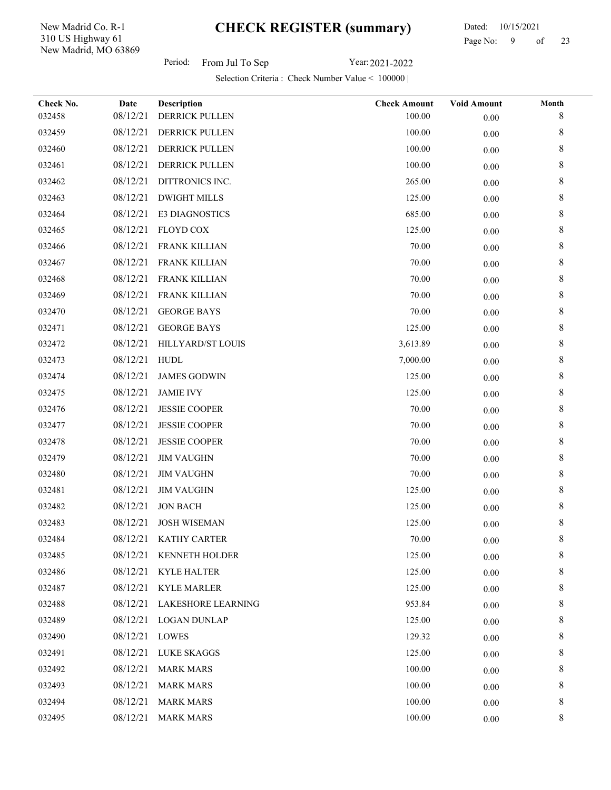New Madrid, MO 63869 310 US Highway 61 New Madrid Co. R-1

Period: From Jul To Sep Year: 2021-2022

| Check No. | Date     | Description           | <b>Check Amount</b> | <b>Void Amount</b> | Month       |
|-----------|----------|-----------------------|---------------------|--------------------|-------------|
| 032458    | 08/12/21 | DERRICK PULLEN        | 100.00              | 0.00               | $\,8\,$     |
| 032459    | 08/12/21 | DERRICK PULLEN        | 100.00              | 0.00               | 8           |
| 032460    | 08/12/21 | DERRICK PULLEN        | 100.00              | $0.00\,$           | 8           |
| 032461    | 08/12/21 | <b>DERRICK PULLEN</b> | 100.00              | 0.00               | 8           |
| 032462    | 08/12/21 | DITTRONICS INC.       | 265.00              | 0.00               | 8           |
| 032463    | 08/12/21 | <b>DWIGHT MILLS</b>   | 125.00              | $0.00\,$           | 8           |
| 032464    | 08/12/21 | E3 DIAGNOSTICS        | 685.00              | 0.00               | 8           |
| 032465    | 08/12/21 | FLOYD COX             | 125.00              | $0.00\,$           | 8           |
| 032466    | 08/12/21 | <b>FRANK KILLIAN</b>  | 70.00               | 0.00               | 8           |
| 032467    | 08/12/21 | FRANK KILLIAN         | 70.00               | 0.00               | 8           |
| 032468    | 08/12/21 | FRANK KILLIAN         | 70.00               | 0.00               | 8           |
| 032469    | 08/12/21 | <b>FRANK KILLIAN</b>  | 70.00               | 0.00               | 8           |
| 032470    | 08/12/21 | <b>GEORGE BAYS</b>    | 70.00               | 0.00               | 8           |
| 032471    | 08/12/21 | <b>GEORGE BAYS</b>    | 125.00              | $0.00\,$           | 8           |
| 032472    | 08/12/21 | HILLYARD/ST LOUIS     | 3,613.89            | 0.00               | 8           |
| 032473    | 08/12/21 | <b>HUDL</b>           | 7,000.00            | 0.00               | 8           |
| 032474    | 08/12/21 | <b>JAMES GODWIN</b>   | 125.00              | $0.00\,$           | 8           |
| 032475    | 08/12/21 | <b>JAMIE IVY</b>      | 125.00              | 0.00               | 8           |
| 032476    | 08/12/21 | <b>JESSIE COOPER</b>  | 70.00               | 0.00               | 8           |
| 032477    | 08/12/21 | <b>JESSIE COOPER</b>  | 70.00               | 0.00               | 8           |
| 032478    | 08/12/21 | <b>JESSIE COOPER</b>  | 70.00               | $0.00\,$           | 8           |
| 032479    | 08/12/21 | <b>JIM VAUGHN</b>     | 70.00               | $0.00\,$           | 8           |
| 032480    | 08/12/21 | <b>JIM VAUGHN</b>     | 70.00               | 0.00               | 8           |
| 032481    | 08/12/21 | <b>JIM VAUGHN</b>     | 125.00              | $0.00\,$           | 8           |
| 032482    | 08/12/21 | <b>JON BACH</b>       | 125.00              | $0.00\,$           | 8           |
| 032483    | 08/12/21 | <b>JOSH WISEMAN</b>   | 125.00              | $0.00\,$           | 8           |
| 032484    |          | 08/12/21 KATHY CARTER | 70.00               | 0.00               | $\,$ 8 $\,$ |
| 032485    | 08/12/21 | KENNETH HOLDER        | 125.00              | 0.00               | 8           |
| 032486    | 08/12/21 | <b>KYLE HALTER</b>    | 125.00              | $0.00\,$           | 8           |
| 032487    | 08/12/21 | <b>KYLE MARLER</b>    | 125.00              | 0.00               | 8           |
| 032488    | 08/12/21 | LAKESHORE LEARNING    | 953.84              | 0.00               | 8           |
| 032489    | 08/12/21 | <b>LOGAN DUNLAP</b>   | 125.00              | 0.00               | 8           |
| 032490    | 08/12/21 | LOWES                 | 129.32              | 0.00               | 8           |
| 032491    | 08/12/21 | LUKE SKAGGS           | 125.00              | 0.00               | 8           |
| 032492    | 08/12/21 | <b>MARK MARS</b>      | 100.00              | $0.00\,$           | 8           |
| 032493    | 08/12/21 | <b>MARK MARS</b>      | 100.00              | $0.00\,$           | 8           |
| 032494    | 08/12/21 | <b>MARK MARS</b>      | 100.00              | $0.00\,$           | 8           |
| 032495    | 08/12/21 | <b>MARK MARS</b>      | 100.00              | $0.00\,$           | $8\,$       |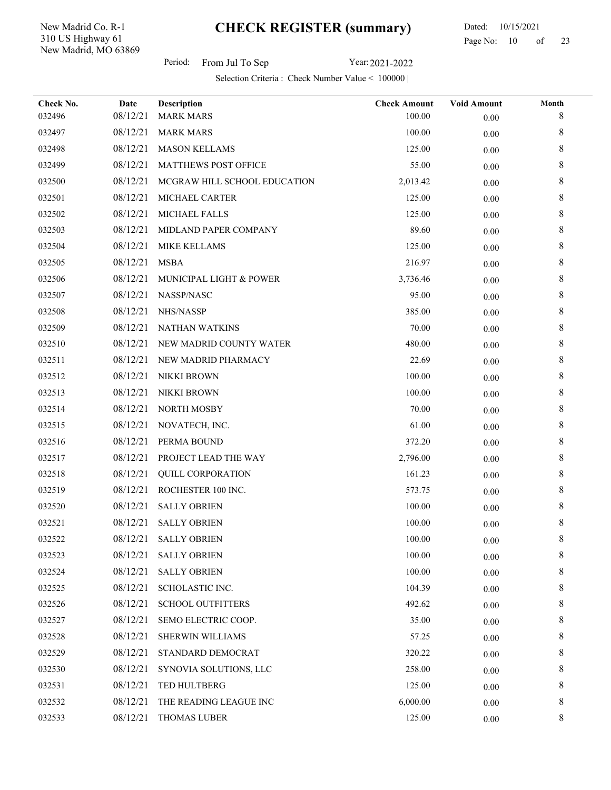New Madrid, MO 63869 310 US Highway 61 New Madrid Co. R-1

l,

#### Dated: 10/15/2021 Page No: 10 of

Period: From Jul To Sep Year: 2021-2022

| Check No. | Date     | Description                  | <b>Check Amount</b> | <b>Void Amount</b> | Month   |
|-----------|----------|------------------------------|---------------------|--------------------|---------|
| 032496    | 08/12/21 | <b>MARK MARS</b>             | 100.00              | 0.00               | 8       |
| 032497    | 08/12/21 | <b>MARK MARS</b>             | 100.00              | 0.00               | 8       |
| 032498    | 08/12/21 | <b>MASON KELLAMS</b>         | 125.00              | 0.00               | 8       |
| 032499    | 08/12/21 | MATTHEWS POST OFFICE         | 55.00               | 0.00               | 8       |
| 032500    | 08/12/21 | MCGRAW HILL SCHOOL EDUCATION | 2,013.42            | 0.00               | 8       |
| 032501    | 08/12/21 | MICHAEL CARTER               | 125.00              | $0.00\,$           | 8       |
| 032502    | 08/12/21 | MICHAEL FALLS                | 125.00              | 0.00               | 8       |
| 032503    | 08/12/21 | MIDLAND PAPER COMPANY        | 89.60               | 0.00               | 8       |
| 032504    | 08/12/21 | <b>MIKE KELLAMS</b>          | 125.00              | 0.00               | 8       |
| 032505    | 08/12/21 | <b>MSBA</b>                  | 216.97              | 0.00               | 8       |
| 032506    | 08/12/21 | MUNICIPAL LIGHT & POWER      | 3,736.46            | 0.00               | 8       |
| 032507    | 08/12/21 | NASSP/NASC                   | 95.00               | 0.00               | 8       |
| 032508    | 08/12/21 | NHS/NASSP                    | 385.00              | 0.00               | 8       |
| 032509    | 08/12/21 | NATHAN WATKINS               | 70.00               | 0.00               | 8       |
| 032510    | 08/12/21 | NEW MADRID COUNTY WATER      | 480.00              | $0.00\,$           | 8       |
| 032511    | 08/12/21 | NEW MADRID PHARMACY          | 22.69               | 0.00               | 8       |
| 032512    | 08/12/21 | NIKKI BROWN                  | 100.00              | 0.00               | 8       |
| 032513    | 08/12/21 | NIKKI BROWN                  | 100.00              | 0.00               | 8       |
| 032514    | 08/12/21 | NORTH MOSBY                  | 70.00               | 0.00               | 8       |
| 032515    | 08/12/21 | NOVATECH, INC.               | 61.00               | 0.00               | 8       |
| 032516    | 08/12/21 | PERMA BOUND                  | 372.20              | 0.00               | 8       |
| 032517    | 08/12/21 | PROJECT LEAD THE WAY         | 2,796.00            | 0.00               | 8       |
| 032518    | 08/12/21 | <b>QUILL CORPORATION</b>     | 161.23              | $0.00\,$           | 8       |
| 032519    | 08/12/21 | ROCHESTER 100 INC.           | 573.75              | 0.00               | 8       |
| 032520    | 08/12/21 | <b>SALLY OBRIEN</b>          | 100.00              | 0.00               | 8       |
| 032521    | 08/12/21 | <b>SALLY OBRIEN</b>          | 100.00              | 0.00               | 8       |
| 032522    | 08/12/21 | <b>SALLY OBRIEN</b>          | 100.00              | $0.00\,$           | 8       |
| 032523    | 08/12/21 | <b>SALLY OBRIEN</b>          | 100.00              | 0.00               | $\,8\,$ |
| 032524    | 08/12/21 | <b>SALLY OBRIEN</b>          | 100.00              | 0.00               | 8       |
| 032525    | 08/12/21 | SCHOLASTIC INC.              | 104.39              | $0.00\,$           | 8       |
| 032526    | 08/12/21 | <b>SCHOOL OUTFITTERS</b>     | 492.62              | 0.00               | 8       |
| 032527    | 08/12/21 | SEMO ELECTRIC COOP.          | 35.00               | 0.00               | 8       |
| 032528    | 08/12/21 | SHERWIN WILLIAMS             | 57.25               | 0.00               | 8       |
| 032529    | 08/12/21 | STANDARD DEMOCRAT            | 320.22              | 0.00               | 8       |
| 032530    | 08/12/21 | SYNOVIA SOLUTIONS, LLC       | 258.00              | 0.00               | 8       |
| 032531    | 08/12/21 | TED HULTBERG                 | 125.00              | 0.00               | 8       |
| 032532    | 08/12/21 | THE READING LEAGUE INC       | 6,000.00            | 0.00               | 8       |
| 032533    | 08/12/21 | THOMAS LUBER                 | 125.00              | $0.00\,$           | 8       |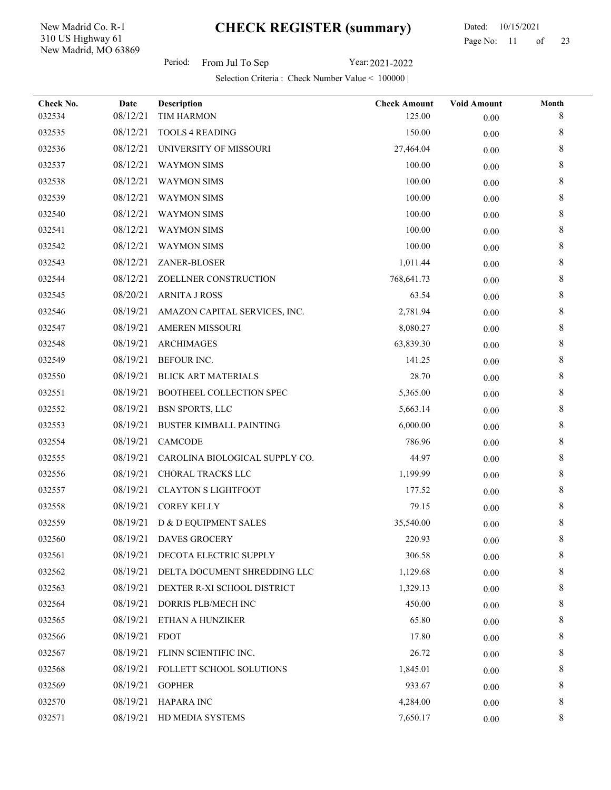New Madrid, MO 63869 310 US Highway 61 New Madrid Co. R-1

 Dated: 10/15/2021 Page No: 11 of

Period: From Jul To Sep Year: 2021-2022

| Check No. | Date     | Description                    | <b>Check Amount</b> | <b>Void Amount</b> | Month |
|-----------|----------|--------------------------------|---------------------|--------------------|-------|
| 032534    | 08/12/21 | <b>TIM HARMON</b>              | 125.00              | 0.00               | 8     |
| 032535    | 08/12/21 | <b>TOOLS 4 READING</b>         | 150.00              | 0.00               | 8     |
| 032536    | 08/12/21 | UNIVERSITY OF MISSOURI         | 27,464.04           | $0.00\,$           | 8     |
| 032537    | 08/12/21 | <b>WAYMON SIMS</b>             | 100.00              | 0.00               | 8     |
| 032538    | 08/12/21 | <b>WAYMON SIMS</b>             | 100.00              | 0.00               | 8     |
| 032539    | 08/12/21 | <b>WAYMON SIMS</b>             | 100.00              | $0.00\,$           | 8     |
| 032540    | 08/12/21 | <b>WAYMON SIMS</b>             | 100.00              | $0.00\,$           | 8     |
| 032541    | 08/12/21 | <b>WAYMON SIMS</b>             | 100.00              | $0.00\,$           | 8     |
| 032542    | 08/12/21 | <b>WAYMON SIMS</b>             | 100.00              | $0.00\,$           | 8     |
| 032543    | 08/12/21 | ZANER-BLOSER                   | 1,011.44            | 0.00               | 8     |
| 032544    | 08/12/21 | ZOELLNER CONSTRUCTION          | 768,641.73          | 0.00               | 8     |
| 032545    | 08/20/21 | <b>ARNITA J ROSS</b>           | 63.54               | 0.00               | 8     |
| 032546    | 08/19/21 | AMAZON CAPITAL SERVICES, INC.  | 2,781.94            | 0.00               | 8     |
| 032547    | 08/19/21 | <b>AMEREN MISSOURI</b>         | 8,080.27            | $0.00\,$           | 8     |
| 032548    | 08/19/21 | <b>ARCHIMAGES</b>              | 63,839.30           | 0.00               | 8     |
| 032549    | 08/19/21 | BEFOUR INC.                    | 141.25              | $0.00\,$           | 8     |
| 032550    | 08/19/21 | <b>BLICK ART MATERIALS</b>     | 28.70               | $0.00\,$           | 8     |
| 032551    | 08/19/21 | BOOTHEEL COLLECTION SPEC       | 5,365.00            | 0.00               | 8     |
| 032552    | 08/19/21 | <b>BSN SPORTS, LLC</b>         | 5,663.14            | $0.00\,$           | 8     |
| 032553    | 08/19/21 | <b>BUSTER KIMBALL PAINTING</b> | 6,000.00            | 0.00               | 8     |
| 032554    | 08/19/21 | CAMCODE                        | 786.96              | $0.00\,$           | 8     |
| 032555    | 08/19/21 | CAROLINA BIOLOGICAL SUPPLY CO. | 44.97               | $0.00\,$           | 8     |
| 032556    | 08/19/21 | CHORAL TRACKS LLC              | 1,199.99            | $0.00\,$           | 8     |
| 032557    | 08/19/21 | <b>CLAYTON S LIGHTFOOT</b>     | 177.52              | $0.00\,$           | 8     |
| 032558    | 08/19/21 | <b>COREY KELLY</b>             | 79.15               | $0.00\,$           | 8     |
| 032559    | 08/19/21 | D & D EQUIPMENT SALES          | 35,540.00           | $0.00\,$           | 8     |
| 032560    |          | 08/19/21 DAVES GROCERY         | 220.93              | 0.00               | 8     |
| 032561    | 08/19/21 | DECOTA ELECTRIC SUPPLY         | 306.58              | 0.00               | 8     |
| 032562    | 08/19/21 | DELTA DOCUMENT SHREDDING LLC   | 1,129.68            | $0.00\,$           | 8     |
| 032563    | 08/19/21 | DEXTER R-XI SCHOOL DISTRICT    | 1,329.13            | 0.00               | 8     |
| 032564    | 08/19/21 | DORRIS PLB/MECH INC            | 450.00              | 0.00               | 8     |
| 032565    | 08/19/21 | ETHAN A HUNZIKER               | 65.80               | 0.00               | 8     |
| 032566    | 08/19/21 | <b>FDOT</b>                    | 17.80               | 0.00               | 8     |
| 032567    | 08/19/21 | FLINN SCIENTIFIC INC.          | 26.72               | 0.00               | 8     |
| 032568    | 08/19/21 | FOLLETT SCHOOL SOLUTIONS       | 1,845.01            | $0.00\,$           | 8     |
| 032569    | 08/19/21 | <b>GOPHER</b>                  | 933.67              | 0.00               | 8     |
| 032570    | 08/19/21 | <b>HAPARA INC</b>              | 4,284.00            | 0.00               | 8     |
| 032571    | 08/19/21 | HD MEDIA SYSTEMS               | 7,650.17            | $0.00\,$           | 8     |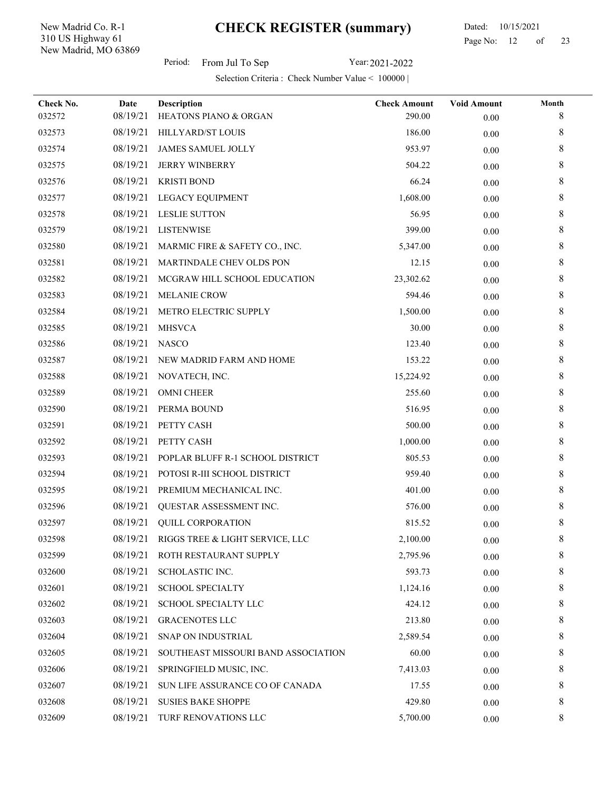New Madrid, MO 63869 310 US Highway 61 New Madrid Co. R-1

 Dated: 10/15/2021 Page No: 12 of

Period: From Jul To Sep Year: 2021-2022

| Check No. | Date     | Description                         | <b>Check Amount</b> | <b>Void Amount</b> | Month |
|-----------|----------|-------------------------------------|---------------------|--------------------|-------|
| 032572    | 08/19/21 | HEATONS PIANO & ORGAN               | 290.00              | $0.00\,$           | 8     |
| 032573    | 08/19/21 | HILLYARD/ST LOUIS                   | 186.00              | 0.00               | 8     |
| 032574    | 08/19/21 | JAMES SAMUEL JOLLY                  | 953.97              | 0.00               | 8     |
| 032575    | 08/19/21 | <b>JERRY WINBERRY</b>               | 504.22              | $0.00\,$           | 8     |
| 032576    | 08/19/21 | <b>KRISTI BOND</b>                  | 66.24               | 0.00               | 8     |
| 032577    | 08/19/21 | LEGACY EQUIPMENT                    | 1,608.00            | 0.00               | 8     |
| 032578    | 08/19/21 | <b>LESLIE SUTTON</b>                | 56.95               | 0.00               | 8     |
| 032579    | 08/19/21 | <b>LISTENWISE</b>                   | 399.00              | 0.00               | 8     |
| 032580    | 08/19/21 | MARMIC FIRE & SAFETY CO., INC.      | 5,347.00            | 0.00               | 8     |
| 032581    | 08/19/21 | MARTINDALE CHEV OLDS PON            | 12.15               | 0.00               | 8     |
| 032582    | 08/19/21 | MCGRAW HILL SCHOOL EDUCATION        | 23,302.62           | 0.00               | 8     |
| 032583    | 08/19/21 | MELANIE CROW                        | 594.46              | $0.00\,$           | 8     |
| 032584    | 08/19/21 | METRO ELECTRIC SUPPLY               | 1,500.00            | 0.00               | 8     |
| 032585    | 08/19/21 | <b>MHSVCA</b>                       | 30.00               | 0.00               | 8     |
| 032586    | 08/19/21 | <b>NASCO</b>                        | 123.40              | 0.00               | 8     |
| 032587    | 08/19/21 | NEW MADRID FARM AND HOME            | 153.22              | 0.00               | 8     |
| 032588    | 08/19/21 | NOVATECH, INC.                      | 15,224.92           | 0.00               | 8     |
| 032589    | 08/19/21 | <b>OMNI CHEER</b>                   | 255.60              | $0.00\,$           | 8     |
| 032590    | 08/19/21 | PERMA BOUND                         | 516.95              | 0.00               | 8     |
| 032591    | 08/19/21 | PETTY CASH                          | 500.00              | $0.00\,$           | 8     |
| 032592    | 08/19/21 | PETTY CASH                          | 1,000.00            | 0.00               | 8     |
| 032593    | 08/19/21 | POPLAR BLUFF R-1 SCHOOL DISTRICT    | 805.53              | 0.00               | 8     |
| 032594    | 08/19/21 | POTOSI R-III SCHOOL DISTRICT        | 959.40              | 0.00               | 8     |
| 032595    | 08/19/21 | PREMIUM MECHANICAL INC.             | 401.00              | 0.00               | 8     |
| 032596    | 08/19/21 | QUESTAR ASSESSMENT INC.             | 576.00              | $0.00\,$           | 8     |
| 032597    | 08/19/21 | <b>QUILL CORPORATION</b>            | 815.52              | $0.00\,$           | 8     |
| 032598    | 08/19/21 | RIGGS TREE & LIGHT SERVICE, LLC     | 2,100.00            | 0.00               | 8     |
| 032599    | 08/19/21 | ROTH RESTAURANT SUPPLY              | 2,795.96            | 0.00               | 8     |
| 032600    | 08/19/21 | SCHOLASTIC INC.                     | 593.73              | 0.00               | 8     |
| 032601    | 08/19/21 | <b>SCHOOL SPECIALTY</b>             | 1,124.16            | 0.00               | 8     |
| 032602    | 08/19/21 | SCHOOL SPECIALTY LLC                | 424.12              | 0.00               | 8     |
| 032603    | 08/19/21 | <b>GRACENOTES LLC</b>               | 213.80              | 0.00               | 8     |
| 032604    | 08/19/21 | SNAP ON INDUSTRIAL                  | 2,589.54            | $0.00\,$           | 8     |
| 032605    | 08/19/21 | SOUTHEAST MISSOURI BAND ASSOCIATION | 60.00               | 0.00               | 8     |
| 032606    | 08/19/21 | SPRINGFIELD MUSIC, INC.             | 7,413.03            | 0.00               | 8     |
| 032607    | 08/19/21 | SUN LIFE ASSURANCE CO OF CANADA     | 17.55               | 0.00               | 8     |
| 032608    | 08/19/21 | <b>SUSIES BAKE SHOPPE</b>           | 429.80              | 0.00               | 8     |
| 032609    | 08/19/21 | TURF RENOVATIONS LLC                | 5,700.00            | $0.00\,$           | 8     |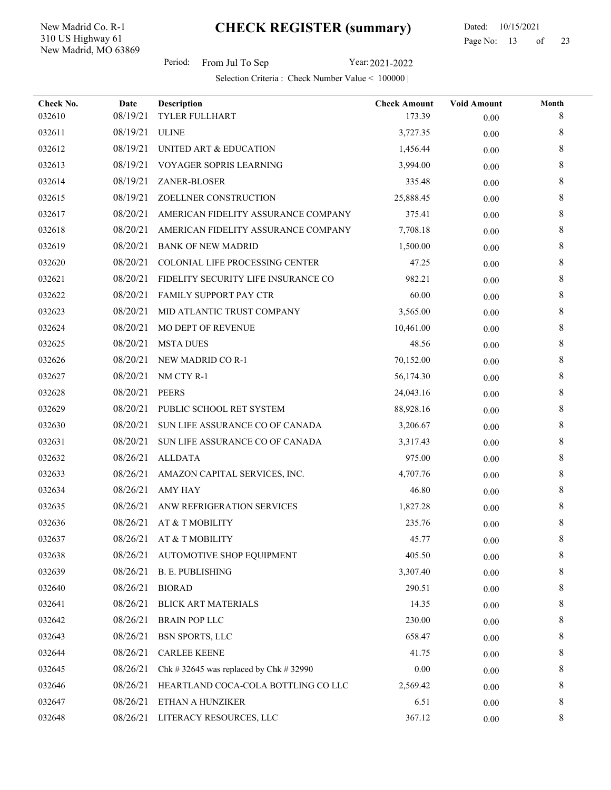New Madrid, MO 63869 310 US Highway 61 New Madrid Co. R-1

l,

#### Dated: 10/15/2021 Page No: 13 of

Period: From Jul To Sep Year: 2021-2022

| Check No. | Date     | <b>Description</b>                      | <b>Check Amount</b> | <b>Void Amount</b> | Month   |
|-----------|----------|-----------------------------------------|---------------------|--------------------|---------|
| 032610    | 08/19/21 | TYLER FULLHART                          | 173.39              | 0.00               | 8       |
| 032611    | 08/19/21 | <b>ULINE</b>                            | 3,727.35            | 0.00               | 8       |
| 032612    | 08/19/21 | UNITED ART & EDUCATION                  | 1,456.44            | 0.00               | 8       |
| 032613    | 08/19/21 | VOYAGER SOPRIS LEARNING                 | 3,994.00            | 0.00               | 8       |
| 032614    | 08/19/21 | ZANER-BLOSER                            | 335.48              | 0.00               | 8       |
| 032615    | 08/19/21 | ZOELLNER CONSTRUCTION                   | 25,888.45           | 0.00               | 8       |
| 032617    | 08/20/21 | AMERICAN FIDELITY ASSURANCE COMPANY     | 375.41              | 0.00               | 8       |
| 032618    | 08/20/21 | AMERICAN FIDELITY ASSURANCE COMPANY     | 7,708.18            | 0.00               | 8       |
| 032619    | 08/20/21 | <b>BANK OF NEW MADRID</b>               | 1,500.00            | 0.00               | 8       |
| 032620    | 08/20/21 | COLONIAL LIFE PROCESSING CENTER         | 47.25               | 0.00               | 8       |
| 032621    | 08/20/21 | FIDELITY SECURITY LIFE INSURANCE CO     | 982.21              | 0.00               | 8       |
| 032622    | 08/20/21 | FAMILY SUPPORT PAY CTR                  | 60.00               | 0.00               | 8       |
| 032623    | 08/20/21 | MID ATLANTIC TRUST COMPANY              | 3,565.00            | 0.00               | 8       |
| 032624    | 08/20/21 | MO DEPT OF REVENUE                      | 10,461.00           | 0.00               | 8       |
| 032625    | 08/20/21 | <b>MSTA DUES</b>                        | 48.56               | 0.00               | 8       |
| 032626    | 08/20/21 | NEW MADRID CO R-1                       | 70,152.00           | 0.00               | 8       |
| 032627    | 08/20/21 | NM CTY R-1                              | 56,174.30           | 0.00               | 8       |
| 032628    | 08/20/21 | <b>PEERS</b>                            | 24,043.16           | 0.00               | 8       |
| 032629    | 08/20/21 | PUBLIC SCHOOL RET SYSTEM                | 88,928.16           | 0.00               | 8       |
| 032630    | 08/20/21 | SUN LIFE ASSURANCE CO OF CANADA         | 3,206.67            | 0.00               | 8       |
| 032631    | 08/20/21 | SUN LIFE ASSURANCE CO OF CANADA         | 3,317.43            | 0.00               | 8       |
| 032632    | 08/26/21 | <b>ALLDATA</b>                          | 975.00              | 0.00               | 8       |
| 032633    | 08/26/21 | AMAZON CAPITAL SERVICES, INC.           | 4,707.76            | 0.00               | 8       |
| 032634    | 08/26/21 | AMY HAY                                 | 46.80               | 0.00               | 8       |
| 032635    | 08/26/21 | ANW REFRIGERATION SERVICES              | 1,827.28            | 0.00               | 8       |
| 032636    | 08/26/21 | AT & T MOBILITY                         | 235.76              | 0.00               | 8       |
| 032637    | 08/26/21 | AT & T MOBILITY                         | 45.77               | 0.00               | 8       |
| 032638    | 08/26/21 | AUTOMOTIVE SHOP EQUIPMENT               | 405.50              | 0.00               | $\,8\,$ |
| 032639    | 08/26/21 | <b>B. E. PUBLISHING</b>                 | 3,307.40            | 0.00               | 8       |
| 032640    | 08/26/21 | <b>BIORAD</b>                           | 290.51              | $0.00\,$           | 8       |
| 032641    | 08/26/21 | BLICK ART MATERIALS                     | 14.35               | 0.00               | 8       |
| 032642    | 08/26/21 | <b>BRAIN POP LLC</b>                    | 230.00              | 0.00               | 8       |
| 032643    | 08/26/21 | <b>BSN SPORTS, LLC</b>                  | 658.47              | 0.00               | 8       |
| 032644    | 08/26/21 | <b>CARLEE KEENE</b>                     | 41.75               | 0.00               | 8       |
| 032645    | 08/26/21 | Chk # 32645 was replaced by Chk # 32990 | 0.00                | 0.00               | 8       |
| 032646    | 08/26/21 | HEARTLAND COCA-COLA BOTTLING CO LLC     | 2,569.42            | $0.00\,$           | 8       |
| 032647    | 08/26/21 | ETHAN A HUNZIKER                        | 6.51                | $0.00\,$           | 8       |
| 032648    | 08/26/21 | LITERACY RESOURCES, LLC                 | 367.12              | $0.00\,$           | 8       |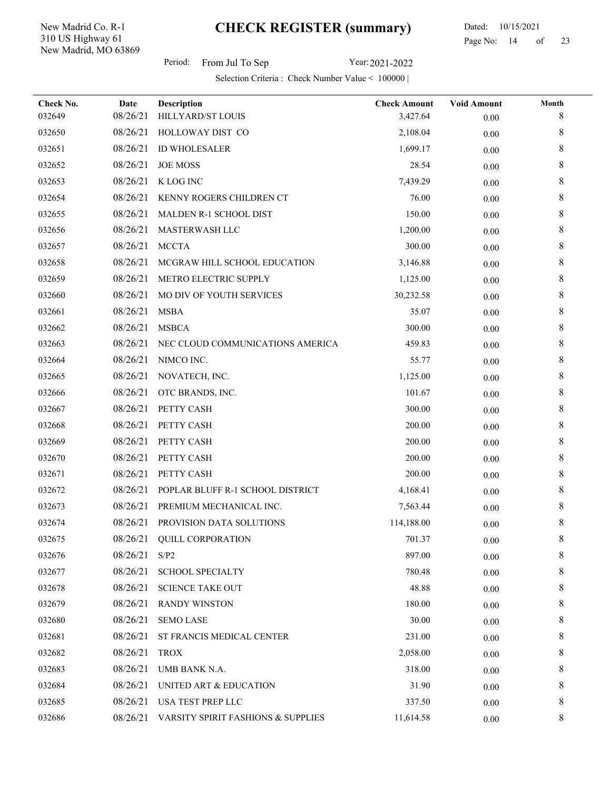New Madrid, MO 63869 310 US Highway 61 New Madrid Co. R-1

 Dated: 10/15/2021 Page No: 14 of

Period: From Jul To Sep Year: 2021-2022

| Check No. | Date<br>08/26/21     | Description<br>HILLYARD/ST LOUIS   | <b>Check Amount</b> | <b>Void Amount</b> | Month<br>8 |
|-----------|----------------------|------------------------------------|---------------------|--------------------|------------|
| 032649    |                      |                                    | 3,427.64            | 0.00               |            |
| 032650    | 08/26/21<br>08/26/21 | HOLLOWAY DIST CO                   | 2,108.04            | 0.00               | 8          |
| 032651    |                      | <b>ID WHOLESALER</b>               | 1,699.17            | 0.00               | 8          |
| 032652    | 08/26/21             | <b>JOE MOSS</b>                    | 28.54               | 0.00               | 8          |
| 032653    | 08/26/21             | K LOG INC                          | 7,439.29            | 0.00               | 8          |
| 032654    | 08/26/21             | KENNY ROGERS CHILDREN CT           | 76.00               | $0.00\,$           | 8          |
| 032655    | 08/26/21             | MALDEN R-1 SCHOOL DIST             | 150.00              | 0.00               | 8          |
| 032656    | 08/26/21             | MASTERWASH LLC                     | 1,200.00            | 0.00               | 8          |
| 032657    | 08/26/21             | <b>MCCTA</b>                       | 300.00              | 0.00               | 8          |
| 032658    | 08/26/21             | MCGRAW HILL SCHOOL EDUCATION       | 3,146.88            | 0.00               | 8          |
| 032659    | 08/26/21             | METRO ELECTRIC SUPPLY              | 1,125.00            | 0.00               | 8          |
| 032660    | 08/26/21             | MO DIV OF YOUTH SERVICES           | 30,232.58           | 0.00               | 8          |
| 032661    | 08/26/21             | <b>MSBA</b>                        | 35.07               | 0.00               | 8          |
| 032662    | 08/26/21             | <b>MSBCA</b>                       | 300.00              | $0.00\,$           | 8          |
| 032663    | 08/26/21             | NEC CLOUD COMMUNICATIONS AMERICA   | 459.83              | 0.00               | 8          |
| 032664    | 08/26/21             | NIMCO INC.                         | 55.77               | 0.00               | 8          |
| 032665    | 08/26/21             | NOVATECH, INC.                     | 1,125.00            | $0.00\,$           | 8          |
| 032666    | 08/26/21             | OTC BRANDS, INC.                   | 101.67              | 0.00               | 8          |
| 032667    | 08/26/21             | PETTY CASH                         | 300.00              | 0.00               | 8          |
| 032668    | 08/26/21             | PETTY CASH                         | 200.00              | 0.00               | 8          |
| 032669    | 08/26/21             | PETTY CASH                         | 200.00              | $0.00\,$           | 8          |
| 032670    | 08/26/21             | PETTY CASH                         | 200.00              | $0.00\,$           | 8          |
| 032671    | 08/26/21             | PETTY CASH                         | 200.00              | 0.00               | 8          |
| 032672    | 08/26/21             | POPLAR BLUFF R-1 SCHOOL DISTRICT   | 4,168.41            | 0.00               | 8          |
| 032673    | 08/26/21             | PREMIUM MECHANICAL INC.            | 7,563.44            | $0.00\,$           | 8          |
| 032674    | 08/26/21             | PROVISION DATA SOLUTIONS           | 114,188.00          | $0.00\,$           | 8          |
| 032675    |                      | 08/26/21 QUILL CORPORATION         | 701.37              | $0.00\,$           | 8          |
| 032676    | 08/26/21             | S/P2                               | 897.00              | $0.00\,$           | 8          |
| 032677    | 08/26/21             | <b>SCHOOL SPECIALTY</b>            | 780.48              | $0.00\,$           | 8          |
| 032678    | 08/26/21             | <b>SCIENCE TAKE OUT</b>            | 48.88               | 0.00               | 8          |
| 032679    | 08/26/21             | <b>RANDY WINSTON</b>               | 180.00              | $0.00\,$           | 8          |
| 032680    | 08/26/21             | <b>SEMO LASE</b>                   | 30.00               | $0.00\,$           | 8          |
| 032681    | 08/26/21             | ST FRANCIS MEDICAL CENTER          | 231.00              | 0.00               | 8          |
| 032682    | 08/26/21             | <b>TROX</b>                        | 2,058.00            | 0.00               | 8          |
| 032683    | 08/26/21             | UMB BANK N.A.                      | 318.00              | $0.00\,$           | 8          |
| 032684    | 08/26/21             | UNITED ART & EDUCATION             | 31.90               | $0.00\,$           | 8          |
| 032685    | 08/26/21             | USA TEST PREP LLC                  | 337.50              | $0.00\,$           | 8          |
| 032686    | 08/26/21             | VARSITY SPIRIT FASHIONS & SUPPLIES | 11,614.58           | $0.00\,$           | 8          |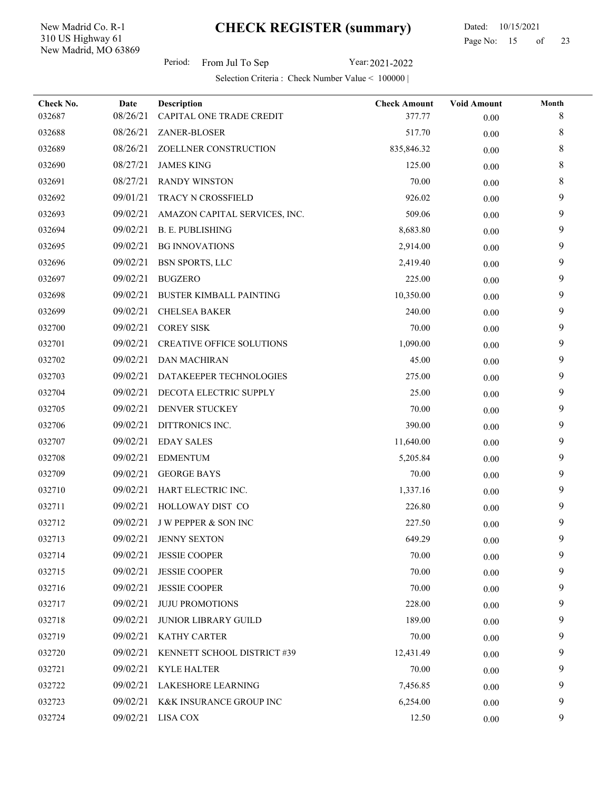New Madrid, MO 63869 310 US Highway 61 New Madrid Co. R-1

l,

 Dated: 10/15/2021 Page No: 15 of

Period: From Jul To Sep Year: 2021-2022

| Check No. | Date     | Description                    | <b>Check Amount</b> | <b>Void Amount</b> | Month |
|-----------|----------|--------------------------------|---------------------|--------------------|-------|
| 032687    | 08/26/21 | CAPITAL ONE TRADE CREDIT       | 377.77              | 0.00               | 8     |
| 032688    | 08/26/21 | ZANER-BLOSER                   | 517.70              | 0.00               | 8     |
| 032689    | 08/26/21 | ZOELLNER CONSTRUCTION          | 835,846.32          | 0.00               | 8     |
| 032690    | 08/27/21 | <b>JAMES KING</b>              | 125.00              | 0.00               | 8     |
| 032691    | 08/27/21 | <b>RANDY WINSTON</b>           | 70.00               | 0.00               | 8     |
| 032692    | 09/01/21 | TRACY N CROSSFIELD             | 926.02              | $0.00\,$           | 9     |
| 032693    | 09/02/21 | AMAZON CAPITAL SERVICES, INC.  | 509.06              | 0.00               | 9     |
| 032694    | 09/02/21 | <b>B. E. PUBLISHING</b>        | 8,683.80            | 0.00               | 9     |
| 032695    | 09/02/21 | <b>BG INNOVATIONS</b>          | 2,914.00            | 0.00               | 9     |
| 032696    | 09/02/21 | <b>BSN SPORTS, LLC</b>         | 2,419.40            | 0.00               | 9     |
| 032697    | 09/02/21 | <b>BUGZERO</b>                 | 225.00              | 0.00               | 9     |
| 032698    | 09/02/21 | <b>BUSTER KIMBALL PAINTING</b> | 10,350.00           | 0.00               | 9     |
| 032699    | 09/02/21 | <b>CHELSEA BAKER</b>           | 240.00              | 0.00               | 9     |
| 032700    | 09/02/21 | <b>COREY SISK</b>              | 70.00               | 0.00               | 9     |
| 032701    | 09/02/21 | CREATIVE OFFICE SOLUTIONS      | 1,090.00            | $0.00\,$           | 9     |
| 032702    | 09/02/21 | <b>DAN MACHIRAN</b>            | 45.00               | 0.00               | 9     |
| 032703    | 09/02/21 | DATAKEEPER TECHNOLOGIES        | 275.00              | 0.00               | 9     |
| 032704    | 09/02/21 | DECOTA ELECTRIC SUPPLY         | 25.00               | 0.00               | 9     |
| 032705    | 09/02/21 | DENVER STUCKEY                 | 70.00               | 0.00               | 9     |
| 032706    | 09/02/21 | DITTRONICS INC.                | 390.00              | 0.00               | 9     |
| 032707    | 09/02/21 | <b>EDAY SALES</b>              | 11,640.00           | 0.00               | 9     |
| 032708    | 09/02/21 | <b>EDMENTUM</b>                | 5,205.84            | 0.00               | 9     |
| 032709    | 09/02/21 | <b>GEORGE BAYS</b>             | 70.00               | $0.00\,$           | 9     |
| 032710    | 09/02/21 | HART ELECTRIC INC.             | 1,337.16            | 0.00               | 9     |
| 032711    | 09/02/21 | HOLLOWAY DIST CO               | 226.80              | 0.00               | 9     |
| 032712    | 09/02/21 | <b>JW PEPPER &amp; SON INC</b> | 227.50              | 0.00               | 9     |
| 032713    | 09/02/21 | <b>JENNY SEXTON</b>            | 649.29              | $0.00\,$           | 9     |
| 032714    | 09/02/21 | <b>JESSIE COOPER</b>           | 70.00               | 0.00               | 9     |
| 032715    | 09/02/21 | <b>JESSIE COOPER</b>           | 70.00               | 0.00               | 9     |
| 032716    | 09/02/21 | <b>JESSIE COOPER</b>           | 70.00               | $0.00\,$           | 9     |
| 032717    | 09/02/21 | <b>JUJU PROMOTIONS</b>         | 228.00              | 0.00               | 9     |
| 032718    | 09/02/21 | <b>JUNIOR LIBRARY GUILD</b>    | 189.00              | 0.00               | 9     |
| 032719    | 09/02/21 | <b>KATHY CARTER</b>            | 70.00               | 0.00               | 9     |
| 032720    | 09/02/21 | KENNETT SCHOOL DISTRICT #39    | 12,431.49           | 0.00               | 9     |
| 032721    | 09/02/21 | <b>KYLE HALTER</b>             | 70.00               | 0.00               | 9     |
| 032722    | 09/02/21 | LAKESHORE LEARNING             | 7,456.85            | 0.00               | 9     |
| 032723    | 09/02/21 | K&K INSURANCE GROUP INC        | 6,254.00            | 0.00               | 9     |
| 032724    | 09/02/21 | LISA COX                       | 12.50               | $0.00\,$           | 9     |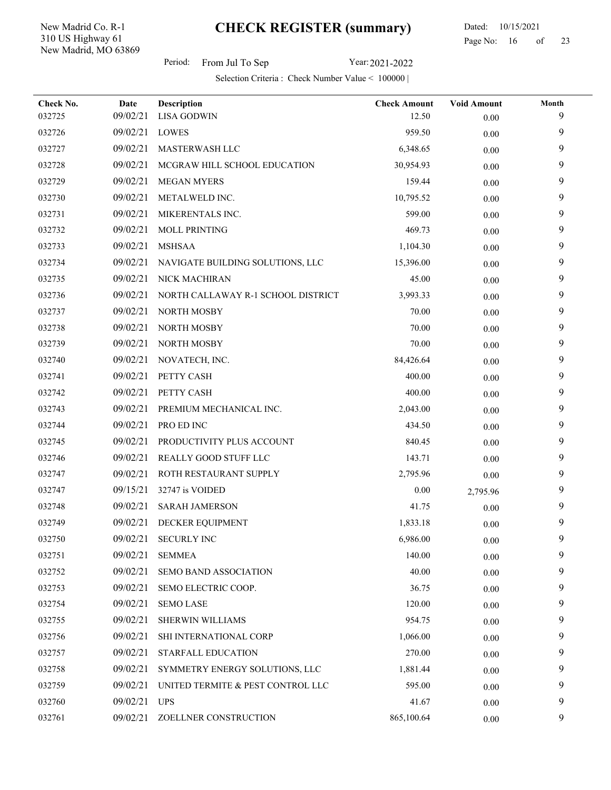New Madrid, MO 63869 310 US Highway 61 New Madrid Co. R-1

 Dated: 10/15/2021 Page No: 16 of

Period: From Jul To Sep Year: 2021-2022

| Check No. | Date     | <b>Description</b>                 | <b>Check Amount</b> | <b>Void Amount</b> | Month |
|-----------|----------|------------------------------------|---------------------|--------------------|-------|
| 032725    | 09/02/21 | <b>LISA GODWIN</b>                 | 12.50               | 0.00               | 9     |
| 032726    | 09/02/21 | <b>LOWES</b>                       | 959.50              | 0.00               | 9     |
| 032727    | 09/02/21 | MASTERWASH LLC                     | 6,348.65            | 0.00               | 9     |
| 032728    | 09/02/21 | MCGRAW HILL SCHOOL EDUCATION       | 30,954.93           | 0.00               | 9     |
| 032729    | 09/02/21 | <b>MEGAN MYERS</b>                 | 159.44              | 0.00               | 9     |
| 032730    | 09/02/21 | METALWELD INC.                     | 10,795.52           | 0.00               | 9     |
| 032731    | 09/02/21 | MIKERENTALS INC.                   | 599.00              | $0.00\,$           | 9     |
| 032732    | 09/02/21 | <b>MOLL PRINTING</b>               | 469.73              | 0.00               | 9     |
| 032733    | 09/02/21 | <b>MSHSAA</b>                      | 1,104.30            | $0.00\,$           | 9     |
| 032734    | 09/02/21 | NAVIGATE BUILDING SOLUTIONS, LLC   | 15,396.00           | $0.00\,$           | 9     |
| 032735    | 09/02/21 | NICK MACHIRAN                      | 45.00               | 0.00               | 9     |
| 032736    | 09/02/21 | NORTH CALLAWAY R-1 SCHOOL DISTRICT | 3,993.33            | 0.00               | 9     |
| 032737    | 09/02/21 | NORTH MOSBY                        | 70.00               | 0.00               | 9     |
| 032738    | 09/02/21 | NORTH MOSBY                        | 70.00               | 0.00               | 9     |
| 032739    | 09/02/21 | <b>NORTH MOSBY</b>                 | 70.00               | 0.00               | 9     |
| 032740    | 09/02/21 | NOVATECH, INC.                     | 84,426.64           | $0.00\,$           | 9     |
| 032741    | 09/02/21 | PETTY CASH                         | 400.00              | $0.00\,$           | 9     |
| 032742    | 09/02/21 | PETTY CASH                         | 400.00              | $0.00\,$           | 9     |
| 032743    | 09/02/21 | PREMIUM MECHANICAL INC.            | 2,043.00            | 0.00               | 9     |
| 032744    | 09/02/21 | PRO ED INC                         | 434.50              | 0.00               | 9     |
| 032745    | 09/02/21 | PRODUCTIVITY PLUS ACCOUNT          | 840.45              | 0.00               | 9     |
| 032746    | 09/02/21 | REALLY GOOD STUFF LLC              | 143.71              | 0.00               | 9     |
| 032747    | 09/02/21 | ROTH RESTAURANT SUPPLY             | 2,795.96            | $0.00\,$           | 9     |
| 032747    | 09/15/21 | 32747 is VOIDED                    | 0.00                | 2,795.96           | 9     |
| 032748    | 09/02/21 | <b>SARAH JAMERSON</b>              | 41.75               | $0.00\,$           | 9     |
| 032749    | 09/02/21 | DECKER EQUIPMENT                   | 1,833.18            | $0.00\,$           | 9     |
| 032750    | 09/02/21 | <b>SECURLY INC</b>                 | 6,986.00            | 0.00               | 9     |
| 032751    | 09/02/21 | <b>SEMMEA</b>                      | 140.00              | 0.00               | 9     |
| 032752    | 09/02/21 | <b>SEMO BAND ASSOCIATION</b>       | 40.00               | 0.00               | 9     |
| 032753    | 09/02/21 | SEMO ELECTRIC COOP.                | 36.75               | $0.00\,$           | 9     |
| 032754    | 09/02/21 | <b>SEMO LASE</b>                   | 120.00              | $0.00\,$           | 9     |
| 032755    | 09/02/21 | <b>SHERWIN WILLIAMS</b>            | 954.75              | 0.00               | 9     |
| 032756    | 09/02/21 | SHI INTERNATIONAL CORP             | 1,066.00            | 0.00               | 9     |
| 032757    | 09/02/21 | STARFALL EDUCATION                 | 270.00              | 0.00               | 9     |
| 032758    | 09/02/21 | SYMMETRY ENERGY SOLUTIONS, LLC     | 1,881.44            | 0.00               | 9     |
| 032759    | 09/02/21 | UNITED TERMITE & PEST CONTROL LLC  | 595.00              | 0.00               | 9     |
| 032760    | 09/02/21 | <b>UPS</b>                         | 41.67               | $0.00\,$           | 9     |
| 032761    | 09/02/21 | ZOELLNER CONSTRUCTION              | 865,100.64          | $0.00\,$           | 9     |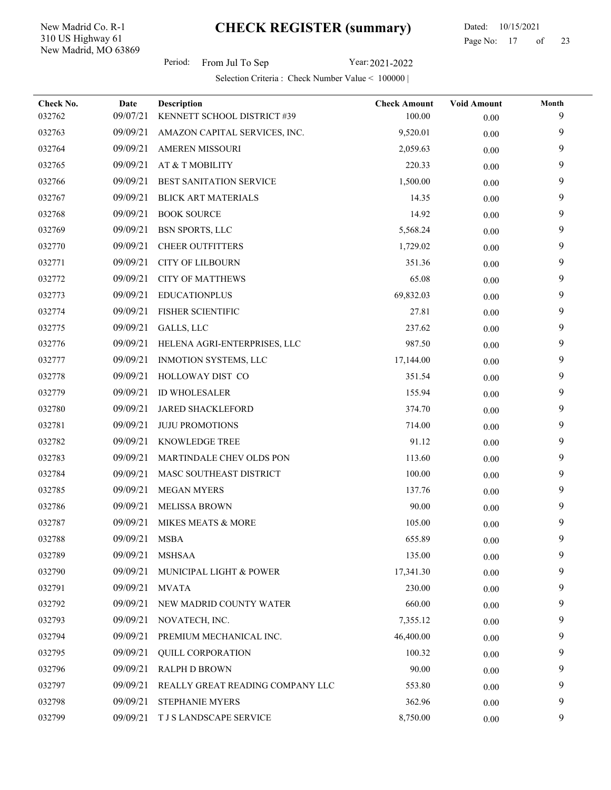New Madrid, MO 63869 310 US Highway 61 New Madrid Co. R-1

 Dated: 10/15/2021 Page No: 17 of

Period: From Jul To Sep Year: 2021-2022

| Check No.<br>032762 | Date<br>09/07/21 | Description<br>KENNETT SCHOOL DISTRICT #39 | <b>Check Amount</b><br>100.00 | <b>Void Amount</b><br>0.00 | Month<br>9 |
|---------------------|------------------|--------------------------------------------|-------------------------------|----------------------------|------------|
| 032763              | 09/09/21         | AMAZON CAPITAL SERVICES, INC.              | 9,520.01                      | 0.00                       | 9          |
| 032764              | 09/09/21         | AMEREN MISSOURI                            | 2,059.63                      | $0.00\,$                   | 9          |
| 032765              | 09/09/21         | AT & T MOBILITY                            | 220.33                        | 0.00                       | 9          |
| 032766              | 09/09/21         | BEST SANITATION SERVICE                    | 1,500.00                      | 0.00                       | 9          |
| 032767              | 09/09/21         | <b>BLICK ART MATERIALS</b>                 | 14.35                         | $0.00\,$                   | 9          |
| 032768              | 09/09/21         | <b>BOOK SOURCE</b>                         | 14.92                         | 0.00                       | 9          |
| 032769              | 09/09/21         | <b>BSN SPORTS, LLC</b>                     | 5,568.24                      | $0.00\,$                   | 9          |
| 032770              | 09/09/21         | <b>CHEER OUTFITTERS</b>                    | 1,729.02                      | 0.00                       | 9          |
| 032771              | 09/09/21         | <b>CITY OF LILBOURN</b>                    | 351.36                        | 0.00                       | 9          |
| 032772              | 09/09/21         | <b>CITY OF MATTHEWS</b>                    | 65.08                         | 0.00                       | 9          |
| 032773              | 09/09/21         | <b>EDUCATIONPLUS</b>                       | 69,832.03                     | 0.00                       | 9          |
| 032774              | 09/09/21         | <b>FISHER SCIENTIFIC</b>                   | 27.81                         | 0.00                       | 9          |
| 032775              | 09/09/21         | GALLS, LLC                                 | 237.62                        | $0.00\,$                   | 9          |
| 032776              | 09/09/21         | HELENA AGRI-ENTERPRISES, LLC               | 987.50                        | 0.00                       | 9          |
| 032777              | 09/09/21         | INMOTION SYSTEMS, LLC                      | 17,144.00                     | $0.00\,$                   | 9          |
| 032778              | 09/09/21         | HOLLOWAY DIST CO                           | 351.54                        | $0.00\,$                   | 9          |
| 032779              | 09/09/21         | <b>ID WHOLESALER</b>                       | 155.94                        | 0.00                       | 9          |
| 032780              | 09/09/21         | <b>JARED SHACKLEFORD</b>                   | 374.70                        | 0.00                       | 9          |
| 032781              | 09/09/21         | <b>JUJU PROMOTIONS</b>                     | 714.00                        | 0.00                       | 9          |
| 032782              | 09/09/21         | KNOWLEDGE TREE                             | 91.12                         | $0.00\,$                   | 9          |
| 032783              | 09/09/21         | MARTINDALE CHEV OLDS PON                   | 113.60                        | $0.00\,$                   | 9          |
| 032784              | 09/09/21         | MASC SOUTHEAST DISTRICT                    | 100.00                        | 0.00                       | 9          |
| 032785              | 09/09/21         | <b>MEGAN MYERS</b>                         | 137.76                        | 0.00                       | 9          |
| 032786              | 09/09/21         | <b>MELISSA BROWN</b>                       | 90.00                         | $0.00\,$                   | 9          |
| 032787              | 09/09/21         | MIKES MEATS & MORE                         | 105.00                        | $0.00\,$                   | 9          |
| 032788              | 09/09/21 MSBA    |                                            | 655.89                        | $0.00\,$                   | 9          |
| 032789              | 09/09/21         | <b>MSHSAA</b>                              | 135.00                        | $0.00\,$                   | 9          |
| 032790              | 09/09/21         | MUNICIPAL LIGHT & POWER                    | 17,341.30                     | $0.00\,$                   | 9          |
| 032791              | 09/09/21         | <b>MVATA</b>                               | 230.00                        | 0.00                       | 9          |
| 032792              | 09/09/21         | NEW MADRID COUNTY WATER                    | 660.00                        | 0.00                       | 9          |
| 032793              | 09/09/21         | NOVATECH, INC.                             | 7,355.12                      | 0.00                       | 9          |
| 032794              | 09/09/21         | PREMIUM MECHANICAL INC.                    | 46,400.00                     | 0.00                       | 9          |
| 032795              | 09/09/21         | <b>QUILL CORPORATION</b>                   | 100.32                        | 0.00                       | 9          |
| 032796              | 09/09/21         | <b>RALPH D BROWN</b>                       | 90.00                         | $0.00\,$                   | 9          |
| 032797              | 09/09/21         | REALLY GREAT READING COMPANY LLC           | 553.80                        | $0.00\,$                   | 9          |
| 032798              | 09/09/21         | STEPHANIE MYERS                            | 362.96                        | $0.00\,$                   | 9          |
| 032799              | 09/09/21         | T J S LANDSCAPE SERVICE                    | 8,750.00                      | $0.00\,$                   | 9          |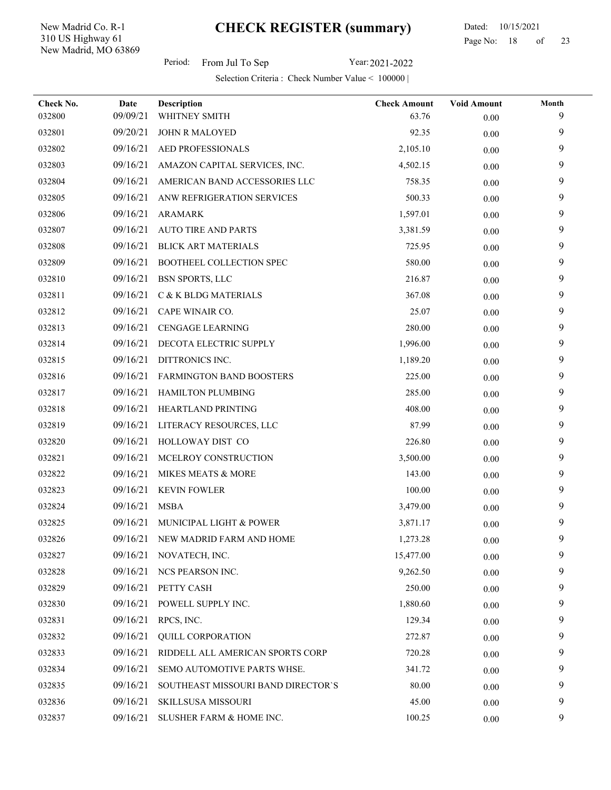New Madrid, MO 63869 310 US Highway 61 New Madrid Co. R-1

l,

Period: From Jul To Sep Year: 2021-2022

| Check No. | <b>Date</b> | Description                        | <b>Check Amount</b> | <b>Void Amount</b> | Month |
|-----------|-------------|------------------------------------|---------------------|--------------------|-------|
| 032800    | 09/09/21    | WHITNEY SMITH                      | 63.76               | $0.00\,$           | 9     |
| 032801    | 09/20/21    | <b>JOHN R MALOYED</b>              | 92.35               | 0.00               | 9     |
| 032802    | 09/16/21    | AED PROFESSIONALS                  | 2,105.10            | 0.00               | 9     |
| 032803    | 09/16/21    | AMAZON CAPITAL SERVICES, INC.      | 4,502.15            | 0.00               | 9     |
| 032804    | 09/16/21    | AMERICAN BAND ACCESSORIES LLC      | 758.35              | 0.00               | 9     |
| 032805    | 09/16/21    | ANW REFRIGERATION SERVICES         | 500.33              | 0.00               | 9     |
| 032806    | 09/16/21    | <b>ARAMARK</b>                     | 1,597.01            | 0.00               | 9     |
| 032807    | 09/16/21    | <b>AUTO TIRE AND PARTS</b>         | 3,381.59            | 0.00               | 9     |
| 032808    | 09/16/21    | <b>BLICK ART MATERIALS</b>         | 725.95              | 0.00               | 9     |
| 032809    | 09/16/21    | <b>BOOTHEEL COLLECTION SPEC</b>    | 580.00              | 0.00               | 9     |
| 032810    | 09/16/21    | <b>BSN SPORTS, LLC</b>             | 216.87              | 0.00               | 9     |
| 032811    | 09/16/21    | C & K BLDG MATERIALS               | 367.08              | $0.00\,$           | 9     |
| 032812    | 09/16/21    | CAPE WINAIR CO.                    | 25.07               | 0.00               | 9     |
| 032813    | 09/16/21    | CENGAGE LEARNING                   | 280.00              | 0.00               | 9     |
| 032814    | 09/16/21    | DECOTA ELECTRIC SUPPLY             | 1,996.00            | 0.00               | 9     |
| 032815    | 09/16/21    | DITTRONICS INC.                    | 1,189.20            | 0.00               | 9     |
| 032816    | 09/16/21    | <b>FARMINGTON BAND BOOSTERS</b>    | 225.00              | 0.00               | 9     |
| 032817    | 09/16/21    | HAMILTON PLUMBING                  | 285.00              | 0.00               | 9     |
| 032818    | 09/16/21    | HEARTLAND PRINTING                 | 408.00              | 0.00               | 9     |
| 032819    | 09/16/21    | LITERACY RESOURCES, LLC            | 87.99               | 0.00               | 9     |
| 032820    | 09/16/21    | HOLLOWAY DIST CO                   | 226.80              | 0.00               | 9     |
| 032821    | 09/16/21    | MCELROY CONSTRUCTION               | 3,500.00            | 0.00               | 9     |
| 032822    | 09/16/21    | MIKES MEATS & MORE                 | 143.00              | 0.00               | 9     |
| 032823    | 09/16/21    | <b>KEVIN FOWLER</b>                | 100.00              | 0.00               | 9     |
| 032824    | 09/16/21    | <b>MSBA</b>                        | 3,479.00            | 0.00               | 9     |
| 032825    | 09/16/21    | MUNICIPAL LIGHT & POWER            | 3,871.17            | 0.00               | 9     |
| 032826    |             | 09/16/21 NEW MADRID FARM AND HOME  | 1,273.28            | 0.00               | 9     |
| 032827    |             | 09/16/21 NOVATECH, INC.            | 15,477.00           | 0.00               | 9     |
| 032828    | 09/16/21    | NCS PEARSON INC.                   | 9,262.50            | $0.00\,$           | 9     |
| 032829    | 09/16/21    | PETTY CASH                         | 250.00              | 0.00               | 9     |
| 032830    | 09/16/21    | POWELL SUPPLY INC.                 | 1,880.60            | 0.00               | 9     |
| 032831    | 09/16/21    | RPCS, INC.                         | 129.34              | 0.00               | 9     |
| 032832    | 09/16/21    | <b>QUILL CORPORATION</b>           | 272.87              | 0.00               | 9     |
| 032833    | 09/16/21    | RIDDELL ALL AMERICAN SPORTS CORP   | 720.28              | 0.00               | 9     |
| 032834    | 09/16/21    | SEMO AUTOMOTIVE PARTS WHSE.        | 341.72              | $0.00\,$           | 9     |
| 032835    | 09/16/21    | SOUTHEAST MISSOURI BAND DIRECTOR'S | 80.00               | 0.00               | 9     |
| 032836    | 09/16/21    | SKILLSUSA MISSOURI                 | 45.00               | 0.00               | 9     |
| 032837    | 09/16/21    | SLUSHER FARM & HOME INC.           | 100.25              | $0.00\,$           | 9     |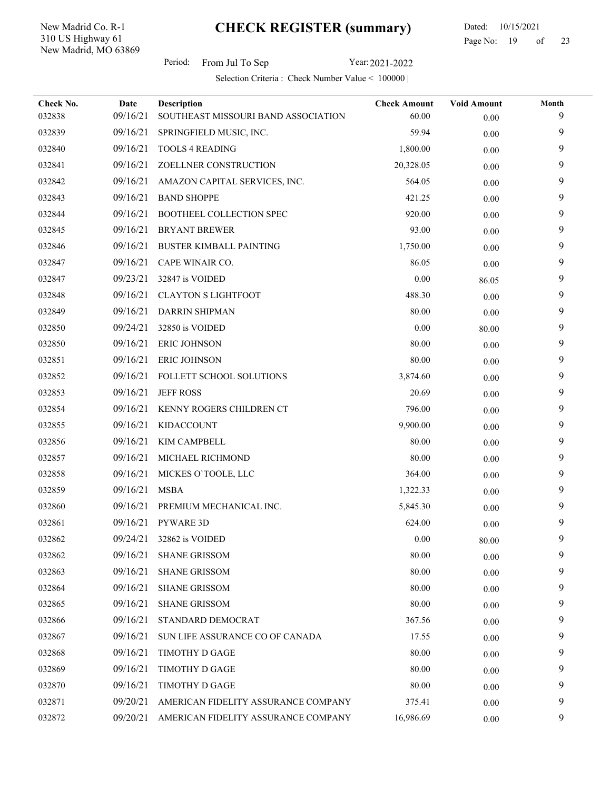New Madrid, MO 63869 310 US Highway 61 New Madrid Co. R-1

l,

 Dated: 10/15/2021 Page No: 19 of

Period: From Jul To Sep Year: 2021-2022

| Check No. | Date     | Description                         | <b>Check Amount</b> | <b>Void Amount</b> | Month |
|-----------|----------|-------------------------------------|---------------------|--------------------|-------|
| 032838    | 09/16/21 | SOUTHEAST MISSOURI BAND ASSOCIATION | 60.00               | 0.00               | 9     |
| 032839    | 09/16/21 | SPRINGFIELD MUSIC, INC.             | 59.94               | 0.00               | 9     |
| 032840    | 09/16/21 | <b>TOOLS 4 READING</b>              | 1,800.00            | 0.00               | 9     |
| 032841    | 09/16/21 | ZOELLNER CONSTRUCTION               | 20,328.05           | 0.00               | 9     |
| 032842    | 09/16/21 | AMAZON CAPITAL SERVICES, INC.       | 564.05              | 0.00               | 9     |
| 032843    | 09/16/21 | <b>BAND SHOPPE</b>                  | 421.25              | 0.00               | 9     |
| 032844    | 09/16/21 | BOOTHEEL COLLECTION SPEC            | 920.00              | 0.00               | 9     |
| 032845    | 09/16/21 | <b>BRYANT BREWER</b>                | 93.00               | 0.00               | 9     |
| 032846    | 09/16/21 | BUSTER KIMBALL PAINTING             | 1,750.00            | 0.00               | 9     |
| 032847    | 09/16/21 | CAPE WINAIR CO.                     | 86.05               | 0.00               | 9     |
| 032847    | 09/23/21 | 32847 is VOIDED                     | 0.00                | 86.05              | 9     |
| 032848    | 09/16/21 | <b>CLAYTON S LIGHTFOOT</b>          | 488.30              | 0.00               | 9     |
| 032849    | 09/16/21 | <b>DARRIN SHIPMAN</b>               | 80.00               | 0.00               | 9     |
| 032850    | 09/24/21 | 32850 is VOIDED                     | 0.00                | 80.00              | 9     |
| 032850    | 09/16/21 | <b>ERIC JOHNSON</b>                 | 80.00               | 0.00               | 9     |
| 032851    | 09/16/21 | <b>ERIC JOHNSON</b>                 | 80.00               | 0.00               | 9     |
| 032852    | 09/16/21 | FOLLETT SCHOOL SOLUTIONS            | 3,874.60            | 0.00               | 9     |
| 032853    | 09/16/21 | <b>JEFF ROSS</b>                    | 20.69               | 0.00               | 9     |
| 032854    | 09/16/21 | KENNY ROGERS CHILDREN CT            | 796.00              | 0.00               | 9     |
| 032855    | 09/16/21 | <b>KIDACCOUNT</b>                   | 9,900.00            | 0.00               | 9     |
| 032856    | 09/16/21 | KIM CAMPBELL                        | 80.00               | 0.00               | 9     |
| 032857    | 09/16/21 | MICHAEL RICHMOND                    | 80.00               | 0.00               | 9     |
| 032858    | 09/16/21 | MICKES O'TOOLE, LLC                 | 364.00              | 0.00               | 9     |
| 032859    | 09/16/21 | <b>MSBA</b>                         | 1,322.33            | 0.00               | 9     |
| 032860    | 09/16/21 | PREMIUM MECHANICAL INC.             | 5,845.30            | 0.00               | 9     |
| 032861    | 09/16/21 | <b>PYWARE 3D</b>                    | 624.00              | 0.00               | 9     |
| 032862    | 09/24/21 | 32862 is VOIDED                     | 0.00                | 80.00              | 9     |
| 032862    | 09/16/21 | <b>SHANE GRISSOM</b>                | 80.00               | 0.00               | 9     |
| 032863    | 09/16/21 | <b>SHANE GRISSOM</b>                | 80.00               | 0.00               | 9     |
| 032864    | 09/16/21 | <b>SHANE GRISSOM</b>                | 80.00               | 0.00               | 9     |
| 032865    | 09/16/21 | <b>SHANE GRISSOM</b>                | 80.00               | 0.00               | 9     |
| 032866    | 09/16/21 | STANDARD DEMOCRAT                   | 367.56              | 0.00               | 9     |
| 032867    | 09/16/21 | SUN LIFE ASSURANCE CO OF CANADA     | 17.55               | 0.00               | 9     |
| 032868    | 09/16/21 | TIMOTHY D GAGE                      | 80.00               | 0.00               | 9     |
| 032869    | 09/16/21 | <b>TIMOTHY D GAGE</b>               | 80.00               | 0.00               |       |
| 032870    | 09/16/21 | TIMOTHY D GAGE                      | 80.00               | 0.00               | 9     |
| 032871    | 09/20/21 | AMERICAN FIDELITY ASSURANCE COMPANY | 375.41              | 0.00               | 9     |
| 032872    | 09/20/21 | AMERICAN FIDELITY ASSURANCE COMPANY | 16,986.69           | $0.00\,$           | 9     |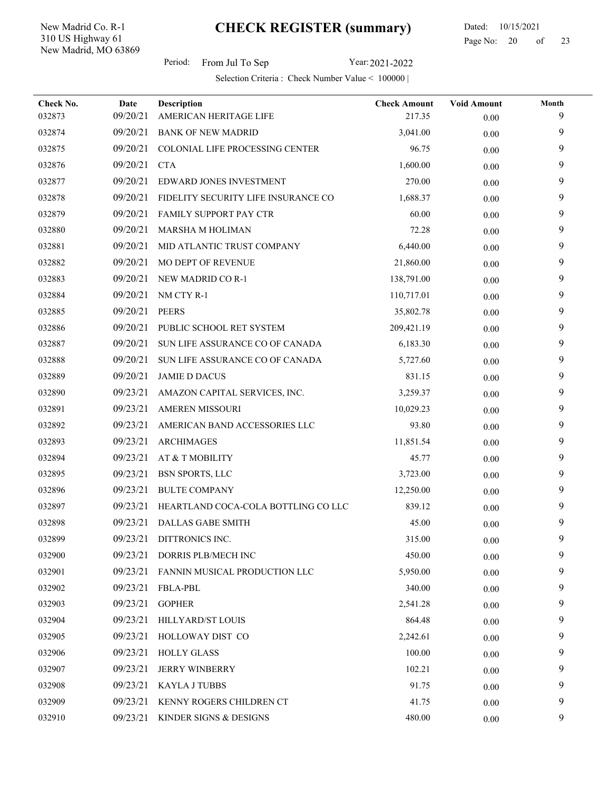New Madrid, MO 63869 310 US Highway 61 New Madrid Co. R-1

l,

 Dated: 10/15/2021 Page No: 20 of

Period: From Jul To Sep Year: 2021-2022

| Check No. | Date     | <b>Description</b>                  | <b>Check Amount</b> | <b>Void Amount</b> | Month |
|-----------|----------|-------------------------------------|---------------------|--------------------|-------|
| 032873    | 09/20/21 | AMERICAN HERITAGE LIFE              | 217.35              | 0.00               | 9     |
| 032874    | 09/20/21 | <b>BANK OF NEW MADRID</b>           | 3,041.00            | 0.00               | 9     |
| 032875    | 09/20/21 | COLONIAL LIFE PROCESSING CENTER     | 96.75               | 0.00               | 9     |
| 032876    | 09/20/21 | <b>CTA</b>                          | 1,600.00            | 0.00               | 9     |
| 032877    | 09/20/21 | EDWARD JONES INVESTMENT             | 270.00              | 0.00               | 9     |
| 032878    | 09/20/21 | FIDELITY SECURITY LIFE INSURANCE CO | 1,688.37            | 0.00               | 9     |
| 032879    | 09/20/21 | FAMILY SUPPORT PAY CTR              | 60.00               | 0.00               | 9     |
| 032880    | 09/20/21 | <b>MARSHA M HOLIMAN</b>             | 72.28               | 0.00               | 9     |
| 032881    | 09/20/21 | MID ATLANTIC TRUST COMPANY          | 6,440.00            | 0.00               | 9     |
| 032882    | 09/20/21 | MO DEPT OF REVENUE                  | 21,860.00           | 0.00               | 9     |
| 032883    | 09/20/21 | NEW MADRID CO R-1                   | 138,791.00          | 0.00               | 9     |
| 032884    | 09/20/21 | NM CTY R-1                          | 110,717.01          | 0.00               | 9     |
| 032885    | 09/20/21 | <b>PEERS</b>                        | 35,802.78           | 0.00               | 9     |
| 032886    | 09/20/21 | PUBLIC SCHOOL RET SYSTEM            | 209,421.19          | 0.00               | 9     |
| 032887    | 09/20/21 | SUN LIFE ASSURANCE CO OF CANADA     | 6,183.30            | 0.00               | 9     |
| 032888    | 09/20/21 | SUN LIFE ASSURANCE CO OF CANADA     | 5,727.60            | 0.00               | 9     |
| 032889    | 09/20/21 | <b>JAMIE D DACUS</b>                | 831.15              | 0.00               | 9     |
| 032890    | 09/23/21 | AMAZON CAPITAL SERVICES, INC.       | 3,259.37            | 0.00               | 9     |
| 032891    | 09/23/21 | <b>AMEREN MISSOURI</b>              | 10,029.23           | 0.00               | 9     |
| 032892    | 09/23/21 | AMERICAN BAND ACCESSORIES LLC       | 93.80               | 0.00               | 9     |
| 032893    | 09/23/21 | <b>ARCHIMAGES</b>                   | 11,851.54           | 0.00               | 9     |
| 032894    | 09/23/21 | AT & T MOBILITY                     | 45.77               | 0.00               | 9     |
| 032895    | 09/23/21 | <b>BSN SPORTS, LLC</b>              | 3,723.00            | 0.00               | 9     |
| 032896    | 09/23/21 | <b>BULTE COMPANY</b>                | 12,250.00           | 0.00               | 9     |
| 032897    | 09/23/21 | HEARTLAND COCA-COLA BOTTLING CO LLC | 839.12              | 0.00               | 9     |
| 032898    | 09/23/21 | DALLAS GABE SMITH                   | 45.00               | 0.00               | 9     |
| 032899    | 09/23/21 | DITTRONICS INC.                     | 315.00              | 0.00               | 9     |
| 032900    | 09/23/21 | DORRIS PLB/MECH INC                 | 450.00              | 0.00               | 9     |
| 032901    | 09/23/21 | FANNIN MUSICAL PRODUCTION LLC       | 5,950.00            | 0.00               | 9     |
| 032902    | 09/23/21 | <b>FBLA-PBL</b>                     | 340.00              | 0.00               | 9     |
| 032903    | 09/23/21 | <b>GOPHER</b>                       | 2,541.28            | 0.00               | 9     |
| 032904    | 09/23/21 | HILLYARD/ST LOUIS                   | 864.48              | 0.00               | 9     |
| 032905    | 09/23/21 | HOLLOWAY DIST CO                    | 2,242.61            | 0.00               | 9     |
| 032906    | 09/23/21 | <b>HOLLY GLASS</b>                  | 100.00              | 0.00               | 9     |
| 032907    | 09/23/21 | <b>JERRY WINBERRY</b>               | 102.21              | 0.00               |       |
| 032908    | 09/23/21 | <b>KAYLA J TUBBS</b>                | 91.75               | 0.00               | 9     |
| 032909    | 09/23/21 | KENNY ROGERS CHILDREN CT            | 41.75               | 0.00               | 9     |
| 032910    | 09/23/21 | KINDER SIGNS & DESIGNS              | 480.00              | 0.00               | 9     |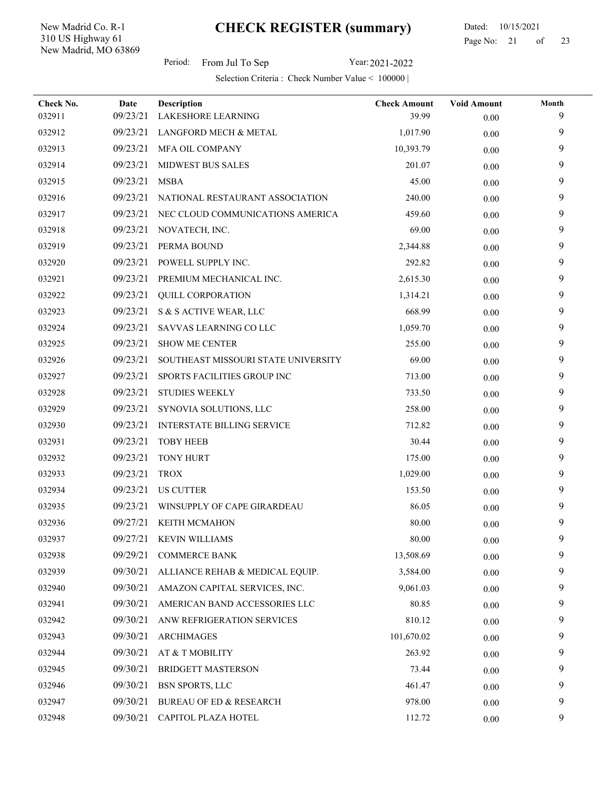New Madrid, MO 63869 310 US Highway 61 New Madrid Co. R-1

 Dated: 10/15/2021 Page No: 21 of

Period: From Jul To Sep Year: 2021-2022

| Check No.<br>032911 | Date<br>09/23/21 | Description<br><b>LAKESHORE LEARNING</b> | <b>Check Amount</b><br>39.99 | <b>Void Amount</b><br>0.00 | Month<br>9 |
|---------------------|------------------|------------------------------------------|------------------------------|----------------------------|------------|
| 032912              | 09/23/21         | <b>LANGFORD MECH &amp; METAL</b>         | 1,017.90                     | 0.00                       | 9          |
| 032913              | 09/23/21         | MFA OIL COMPANY                          | 10,393.79                    | 0.00                       | 9          |
| 032914              | 09/23/21         | <b>MIDWEST BUS SALES</b>                 | 201.07                       | 0.00                       | 9          |
| 032915              | 09/23/21         | <b>MSBA</b>                              | 45.00                        | 0.00                       | 9          |
| 032916              | 09/23/21         | NATIONAL RESTAURANT ASSOCIATION          | 240.00                       | $0.00\,$                   | 9          |
| 032917              | 09/23/21         | NEC CLOUD COMMUNICATIONS AMERICA         | 459.60                       | 0.00                       | 9          |
| 032918              | 09/23/21         | NOVATECH, INC.                           | 69.00                        | $0.00\,$                   | 9          |
| 032919              | 09/23/21         | PERMA BOUND                              | 2,344.88                     | 0.00                       | 9          |
| 032920              | 09/23/21         | POWELL SUPPLY INC.                       | 292.82                       | 0.00                       | 9          |
| 032921              | 09/23/21         | PREMIUM MECHANICAL INC.                  | 2,615.30                     | 0.00                       | 9          |
| 032922              | 09/23/21         | QUILL CORPORATION                        | 1,314.21                     | 0.00                       | 9          |
| 032923              | 09/23/21         | S & S ACTIVE WEAR, LLC                   | 668.99                       | 0.00                       | 9          |
| 032924              | 09/23/21         | SAVVAS LEARNING CO LLC                   | 1,059.70                     | $0.00\,$                   | 9          |
| 032925              | 09/23/21         | <b>SHOW ME CENTER</b>                    | 255.00                       | 0.00                       | 9          |
| 032926              | 09/23/21         | SOUTHEAST MISSOURI STATE UNIVERSITY      | 69.00                        | $0.00\,$                   | 9          |
| 032927              | 09/23/21         | SPORTS FACILITIES GROUP INC              | 713.00                       | $0.00\,$                   | 9          |
| 032928              | 09/23/21         | <b>STUDIES WEEKLY</b>                    | 733.50                       | 0.00                       | 9          |
| 032929              | 09/23/21         | SYNOVIA SOLUTIONS, LLC                   | 258.00                       | 0.00                       | 9          |
| 032930              | 09/23/21         | <b>INTERSTATE BILLING SERVICE</b>        | 712.82                       | 0.00                       | 9          |
| 032931              | 09/23/21         | <b>TOBY HEEB</b>                         | 30.44                        | 0.00                       | 9          |
| 032932              | 09/23/21         | <b>TONY HURT</b>                         | 175.00                       | $0.00\,$                   | 9          |
| 032933              | 09/23/21         | <b>TROX</b>                              | 1,029.00                     | $0.00\,$                   | 9          |
| 032934              | 09/23/21         | <b>US CUTTER</b>                         | 153.50                       | 0.00                       | 9          |
| 032935              | 09/23/21         | WINSUPPLY OF CAPE GIRARDEAU              | 86.05                        | 0.00                       | 9          |
| 032936              | 09/27/21         | <b>KEITH MCMAHON</b>                     | 80.00                        | 0.00                       | 9          |
| 032937              |                  | 09/27/21 KEVIN WILLIAMS                  | 80.00                        | 0.00                       | 9          |
| 032938              | 09/29/21         | <b>COMMERCE BANK</b>                     | 13,508.69                    | $0.00\,$                   | 9          |
| 032939              | 09/30/21         | ALLIANCE REHAB & MEDICAL EQUIP.          | 3,584.00                     | $0.00\,$                   | 9          |
| 032940              | 09/30/21         | AMAZON CAPITAL SERVICES, INC.            | 9,061.03                     | $0.00\,$                   | 9          |
| 032941              | 09/30/21         | AMERICAN BAND ACCESSORIES LLC            | 80.85                        | 0.00                       | 9          |
| 032942              | 09/30/21         | ANW REFRIGERATION SERVICES               | 810.12                       | 0.00                       | 9          |
| 032943              | 09/30/21         | <b>ARCHIMAGES</b>                        | 101,670.02                   | $0.00\,$                   | 9          |
| 032944              | 09/30/21         | AT & T MOBILITY                          | 263.92                       | 0.00                       | 9          |
| 032945              | 09/30/21         | <b>BRIDGETT MASTERSON</b>                | 73.44                        | $0.00\,$                   | 9          |
| 032946              | 09/30/21         | <b>BSN SPORTS, LLC</b>                   | 461.47                       | $0.00\,$                   | 9          |
| 032947              | 09/30/21         | <b>BUREAU OF ED &amp; RESEARCH</b>       | 978.00                       | $0.00\,$                   | 9          |
| 032948              | 09/30/21         | CAPITOL PLAZA HOTEL                      | 112.72                       | $0.00\,$                   | 9          |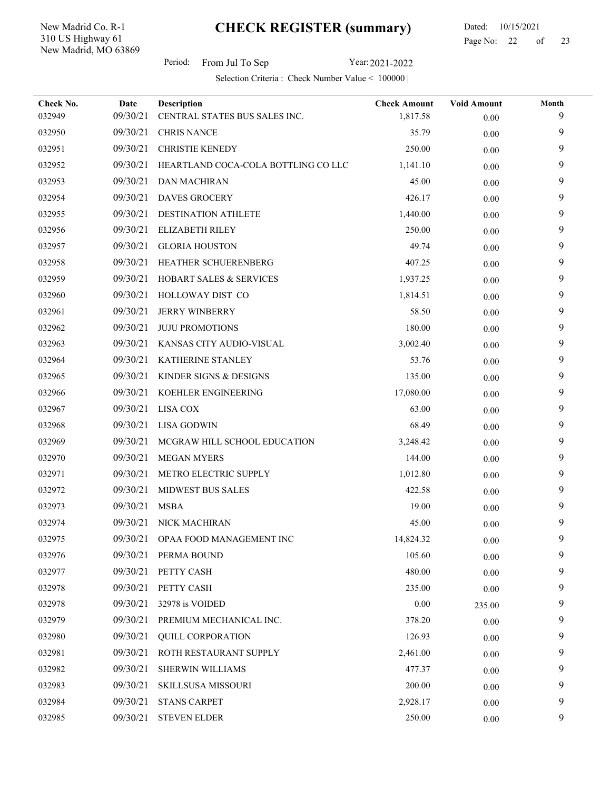New Madrid, MO 63869 310 US Highway 61 New Madrid Co. R-1

#### Dated: 10/15/2021 Page No: 22 of

Period: From Jul To Sep Year: 2021-2022

| Check No.<br>032949 | Date<br>09/30/21 | Description<br>CENTRAL STATES BUS SALES INC. | <b>Check Amount</b><br>1,817.58 | <b>Void Amount</b><br>0.00 | Month<br>9 |
|---------------------|------------------|----------------------------------------------|---------------------------------|----------------------------|------------|
| 032950              | 09/30/21         | <b>CHRIS NANCE</b>                           | 35.79                           | 0.00                       | 9          |
| 032951              | 09/30/21         | <b>CHRISTIE KENEDY</b>                       | 250.00                          | 0.00                       | 9          |
| 032952              | 09/30/21         | HEARTLAND COCA-COLA BOTTLING CO LLC          | 1,141.10                        | 0.00                       | 9          |
| 032953              | 09/30/21         | <b>DAN MACHIRAN</b>                          | 45.00                           | 0.00                       | 9          |
| 032954              | 09/30/21         | <b>DAVES GROCERY</b>                         | 426.17                          | $0.00\,$                   | 9          |
| 032955              | 09/30/21         | <b>DESTINATION ATHLETE</b>                   | 1,440.00                        | 0.00                       | 9          |
| 032956              | 09/30/21         | <b>ELIZABETH RILEY</b>                       | 250.00                          | 0.00                       | 9          |
| 032957              | 09/30/21         | <b>GLORIA HOUSTON</b>                        | 49.74                           | $0.00\,$                   | 9          |
| 032958              | 09/30/21         | HEATHER SCHUERENBERG<br>407.25               |                                 | 0.00                       | 9          |
| 032959              | 09/30/21         | <b>HOBART SALES &amp; SERVICES</b>           | 1,937.25                        | 0.00                       | 9          |
| 032960              | 09/30/21         | HOLLOWAY DIST CO                             | 1,814.51                        | 0.00                       | 9          |
| 032961              | 09/30/21         | <b>JERRY WINBERRY</b>                        | 58.50                           | 0.00                       | 9          |
| 032962              | 09/30/21         | <b>JUJU PROMOTIONS</b>                       | 180.00                          | 0.00                       | 9          |
| 032963              | 09/30/21         | KANSAS CITY AUDIO-VISUAL                     | 3,002.40                        | 0.00                       | 9          |
| 032964              | 09/30/21         | KATHERINE STANLEY                            | 53.76                           | 0.00                       | 9          |
| 032965              | 09/30/21         | KINDER SIGNS & DESIGNS                       | 135.00                          | 0.00                       | 9          |
| 032966              | 09/30/21         | KOEHLER ENGINEERING                          | 17,080.00                       | 0.00                       | 9          |
| 032967              | 09/30/21         | LISA COX                                     | 63.00                           | 0.00                       | 9          |
| 032968              | 09/30/21         | <b>LISA GODWIN</b>                           | 68.49                           | 0.00                       | 9          |
| 032969              | 09/30/21         | MCGRAW HILL SCHOOL EDUCATION                 | 3,248.42                        | 0.00                       | 9          |
| 032970              | 09/30/21         | <b>MEGAN MYERS</b>                           | 144.00                          | $0.00\,$                   | 9          |
| 032971              | 09/30/21         | METRO ELECTRIC SUPPLY                        | 1,012.80                        | 0.00                       | 9          |
| 032972              | 09/30/21         | <b>MIDWEST BUS SALES</b>                     | 422.58                          | 0.00                       | 9          |
| 032973              | 09/30/21         | <b>MSBA</b>                                  | 19.00                           | 0.00                       | 9          |
| 032974              | 09/30/21         | <b>NICK MACHIRAN</b>                         | 45.00                           | 0.00                       | 9          |
| 032975              |                  | 09/30/21 OPAA FOOD MANAGEMENT INC            | 14,824.32                       | 0.00                       | 9          |
| 032976              | 09/30/21         | PERMA BOUND                                  | 105.60                          | 0.00                       | 9          |
| 032977              | 09/30/21         | PETTY CASH                                   | 480.00                          | $0.00\,$                   | 9          |
| 032978              | 09/30/21         | PETTY CASH                                   | 235.00                          | $0.00\,$                   | 9          |
| 032978              | 09/30/21         | 32978 is VOIDED                              | 0.00                            | 235.00                     | 9          |
| 032979              | 09/30/21         | PREMIUM MECHANICAL INC.                      | 378.20                          | 0.00                       | 9          |
| 032980              | 09/30/21         | <b>QUILL CORPORATION</b>                     | 126.93                          | 0.00                       | 9          |
| 032981              | 09/30/21         | ROTH RESTAURANT SUPPLY                       | 2,461.00                        | 0.00                       | 9          |
| 032982              | 09/30/21         | SHERWIN WILLIAMS                             | 477.37                          | $0.00\,$                   | 9          |
| 032983              | 09/30/21         | <b>SKILLSUSA MISSOURI</b>                    | 200.00                          | $0.00\,$                   | 9          |
| 032984              | 09/30/21         | <b>STANS CARPET</b>                          | 2,928.17                        | $0.00\,$                   | 9          |
| 032985              | 09/30/21         | <b>STEVEN ELDER</b>                          | 250.00                          | $0.00\,$                   | 9          |